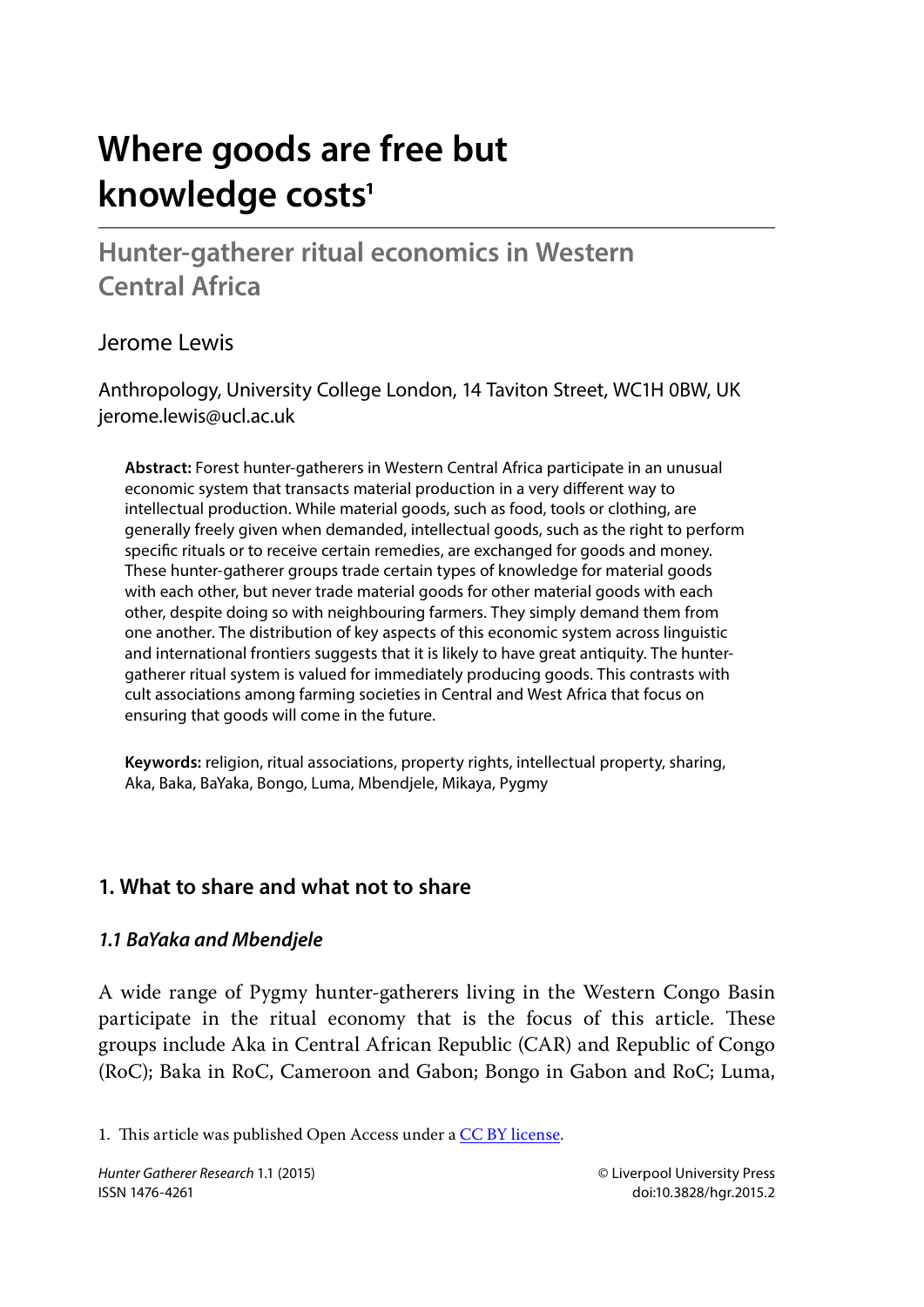# **Where goods are free but**  knowledge costs<sup>1</sup>

## **Hunter-gatherer ritual economics in Western Central Africa**

## Jerome Lewis

Anthropology, University College London, 14 Taviton Street, WC1H 0BW, UK [jerome.lewis@ucl.ac.uk](mailto:jerome.lewis@ucl.ac.uk)

**Abstract:** Forest hunter-gatherers in Western Central Africa participate in an unusual economic system that transacts material production in a very different way to intellectual production. While material goods, such as food, tools or clothing, are generally freely given when demanded, intellectual goods, such as the right to perform specific rituals or to receive certain remedies, are exchanged for goods and money. These hunter-gatherer groups trade certain types of knowledge for material goods with each other, but never trade material goods for other material goods with each other, despite doing so with neighbouring farmers. They simply demand them from one another. The distribution of key aspects of this economic system across linguistic and international frontiers suggests that it is likely to have great antiquity. The huntergatherer ritual system is valued for immediately producing goods. This contrasts with cult associations among farming societies in Central and West Africa that focus on ensuring that goods will come in the future.

**Keywords:** religion, ritual associations, property rights, intellectual property, sharing, Aka, Baka, BaYaka, Bongo, Luma, Mbendjele, Mikaya, Pygmy

## **1. What to share and what not to share**

## *1.1 BaYaka and Mbendjele*

A wide range of Pygmy hunter-gatherers living in the Western Congo Basin participate in the ritual economy that is the focus of this article. These groups include Aka in Central African Republic (CAR) and Republic of Congo (RoC); Baka in RoC, Cameroon and Gabon; Bongo in Gabon and RoC; Luma,

1. This article was published Open Access under a [CC BY license](https://creativecommons.org/licenses/by/3.0/).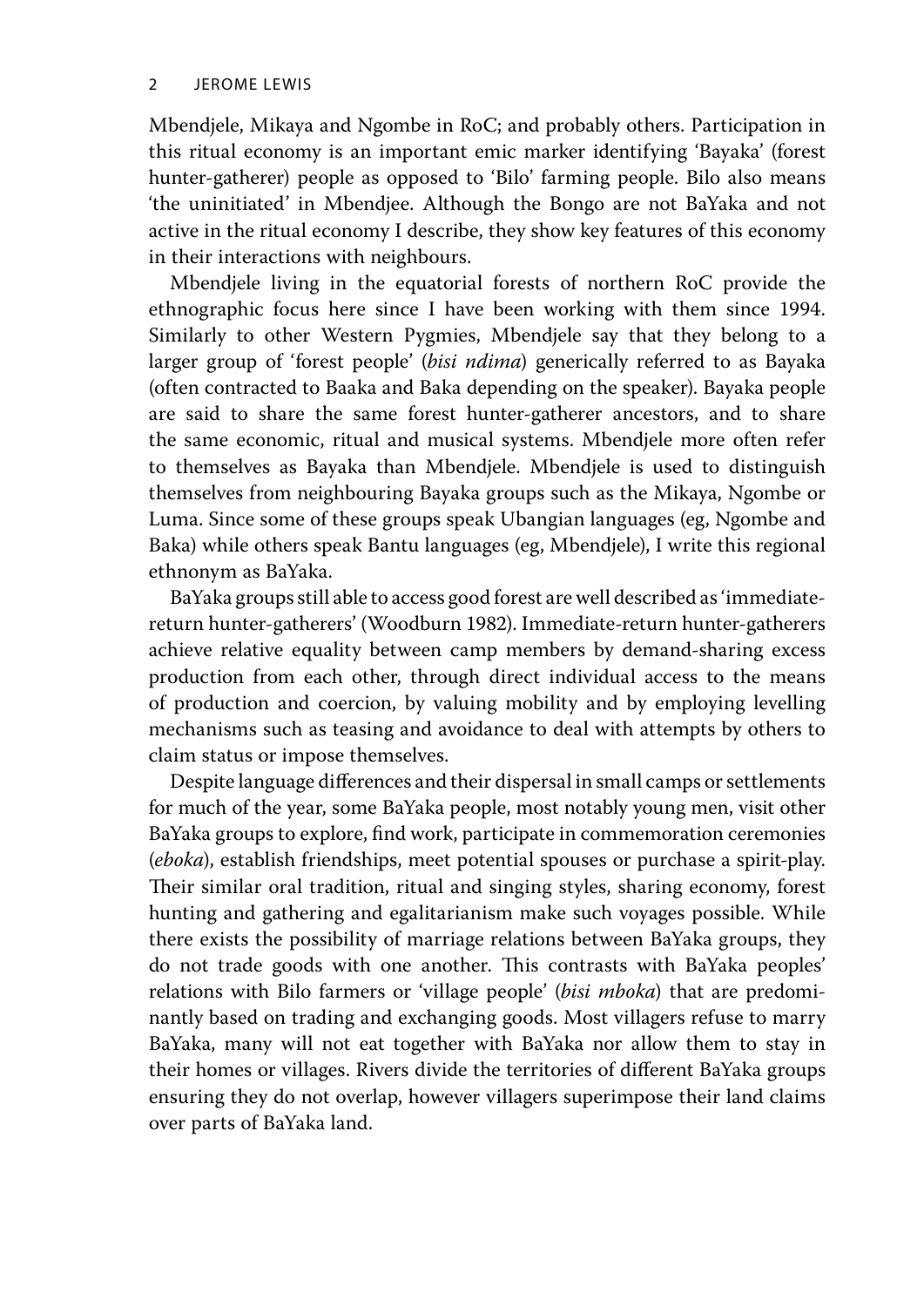Mbendjele, Mikaya and Ngombe in RoC; and probably others. Participation in this ritual economy is an important emic marker identifying 'Bayaka' (forest hunter-gatherer) people as opposed to 'Bilo' farming people. Bilo also means 'the uninitiated' in Mbendjee. Although the Bongo are not BaYaka and not active in the ritual economy I describe, they show key features of this economy in their interactions with neighbours.

Mbendjele living in the equatorial forests of northern RoC provide the ethnographic focus here since I have been working with them since 1994. Similarly to other Western Pygmies, Mbendjele say that they belong to a larger group of 'forest people' (*bisi ndima*) generically referred to as Bayaka (often contracted to Baaka and Baka depending on the speaker). Bayaka people are said to share the same forest hunter-gatherer ancestors, and to share the same economic, ritual and musical systems. Mbendjele more often refer to themselves as Bayaka than Mbendjele. Mbendjele is used to distinguish themselves from neighbouring Bayaka groups such as the Mikaya, Ngombe or Luma. Since some of these groups speak Ubangian languages (eg, Ngombe and Baka) while others speak Bantu languages (eg, Mbendjele), I write this regional ethnonym as BaYaka.

BaYaka groups still able to access good forest are well described as 'immediatereturn hunter-gatherers' (Woodburn 1982). Immediate-return hunter-gatherers achieve relative equality between camp members by demand-sharing excess production from each other, through direct individual access to the means of production and coercion, by valuing mobility and by employing levelling mechanisms such as teasing and avoidance to deal with attempts by others to claim status or impose themselves.

Despite language differences and their dispersal in small camps or settlements for much of the year, some BaYaka people, most notably young men, visit other BaYaka groups to explore, find work, participate in commemoration ceremonies (*eboka*), establish friendships, meet potential spouses or purchase a spirit-play. Their similar oral tradition, ritual and singing styles, sharing economy, forest hunting and gathering and egalitarianism make such voyages possible. While there exists the possibility of marriage relations between BaYaka groups, they do not trade goods with one another. This contrasts with BaYaka peoples' relations with Bilo farmers or 'village people' (*bisi mboka*) that are predominantly based on trading and exchanging goods. Most villagers refuse to marry BaYaka, many will not eat together with BaYaka nor allow them to stay in their homes or villages. Rivers divide the territories of different BaYaka groups ensuring they do not overlap, however villagers superimpose their land claims over parts of BaYaka land.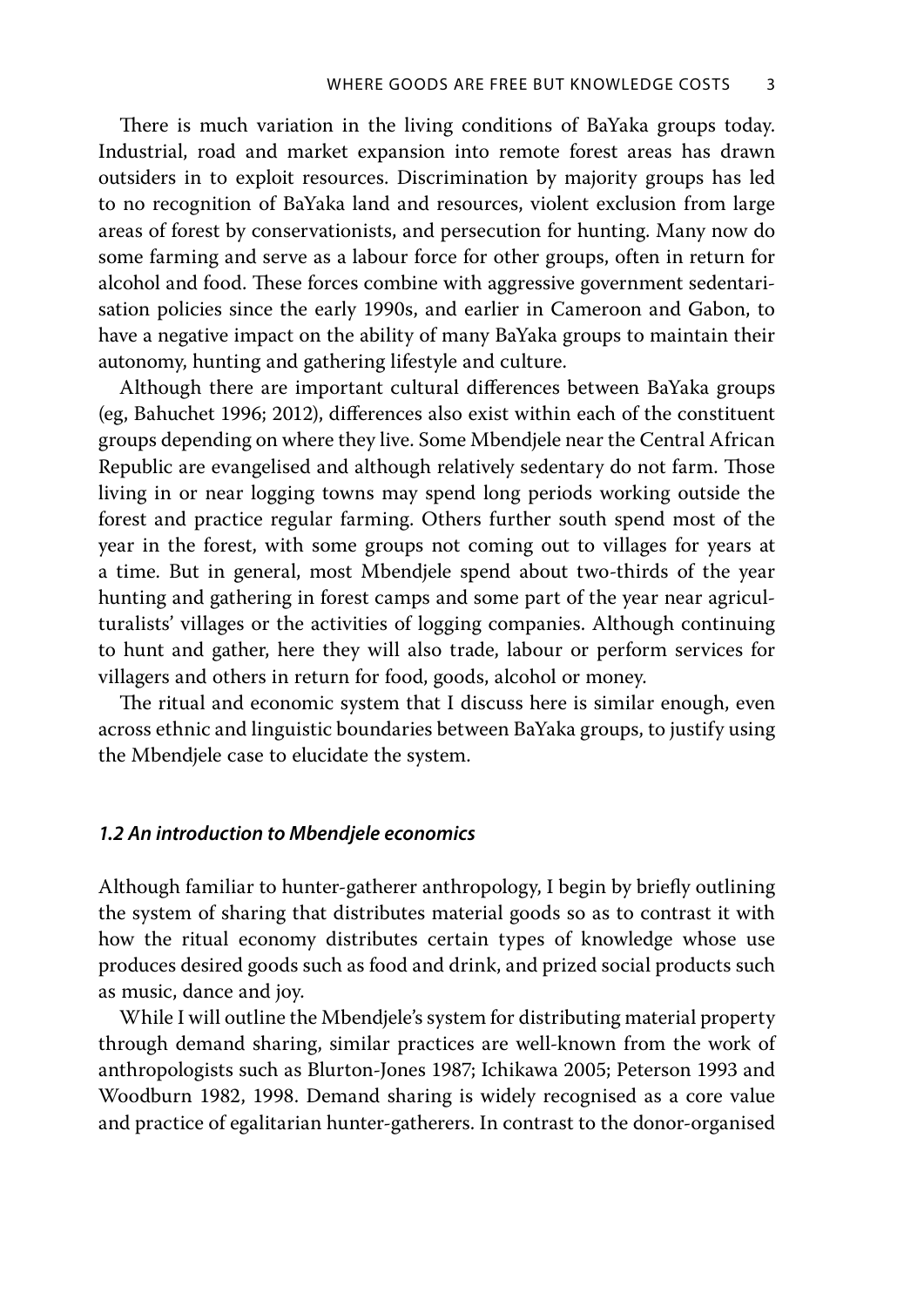There is much variation in the living conditions of BaYaka groups today. Industrial, road and market expansion into remote forest areas has drawn outsiders in to exploit resources. Discrimination by majority groups has led to no recognition of BaYaka land and resources, violent exclusion from large areas of forest by conservationists, and persecution for hunting. Many now do some farming and serve as a labour force for other groups, often in return for alcohol and food. These forces combine with aggressive government sedentarisation policies since the early 1990s, and earlier in Cameroon and Gabon, to have a negative impact on the ability of many BaYaka groups to maintain their autonomy, hunting and gathering lifestyle and culture.

Although there are important cultural differences between BaYaka groups (eg, Bahuchet 1996; 2012), differences also exist within each of the constituent groups depending on where they live. Some Mbendjele near the Central African Republic are evangelised and although relatively sedentary do not farm. Those living in or near logging towns may spend long periods working outside the forest and practice regular farming. Others further south spend most of the year in the forest, with some groups not coming out to villages for years at a time. But in general, most Mbendjele spend about two-thirds of the year hunting and gathering in forest camps and some part of the year near agriculturalists' villages or the activities of logging companies. Although continuing to hunt and gather, here they will also trade, labour or perform services for villagers and others in return for food, goods, alcohol or money.

The ritual and economic system that I discuss here is similar enough, even across ethnic and linguistic boundaries between BaYaka groups, to justify using the Mbendjele case to elucidate the system.

#### *1.2 An introduction to Mbendjele economics*

Although familiar to hunter-gatherer anthropology, I begin by briefly outlining the system of sharing that distributes material goods so as to contrast it with how the ritual economy distributes certain types of knowledge whose use produces desired goods such as food and drink, and prized social products such as music, dance and joy.

While I will outline the Mbendjele's system for distributing material property through demand sharing, similar practices are well-known from the work of anthropologists such as Blurton-Jones 1987; Ichikawa 2005; Peterson 1993 and Woodburn 1982, 1998. Demand sharing is widely recognised as a core value and practice of egalitarian hunter-gatherers. In contrast to the donor-organised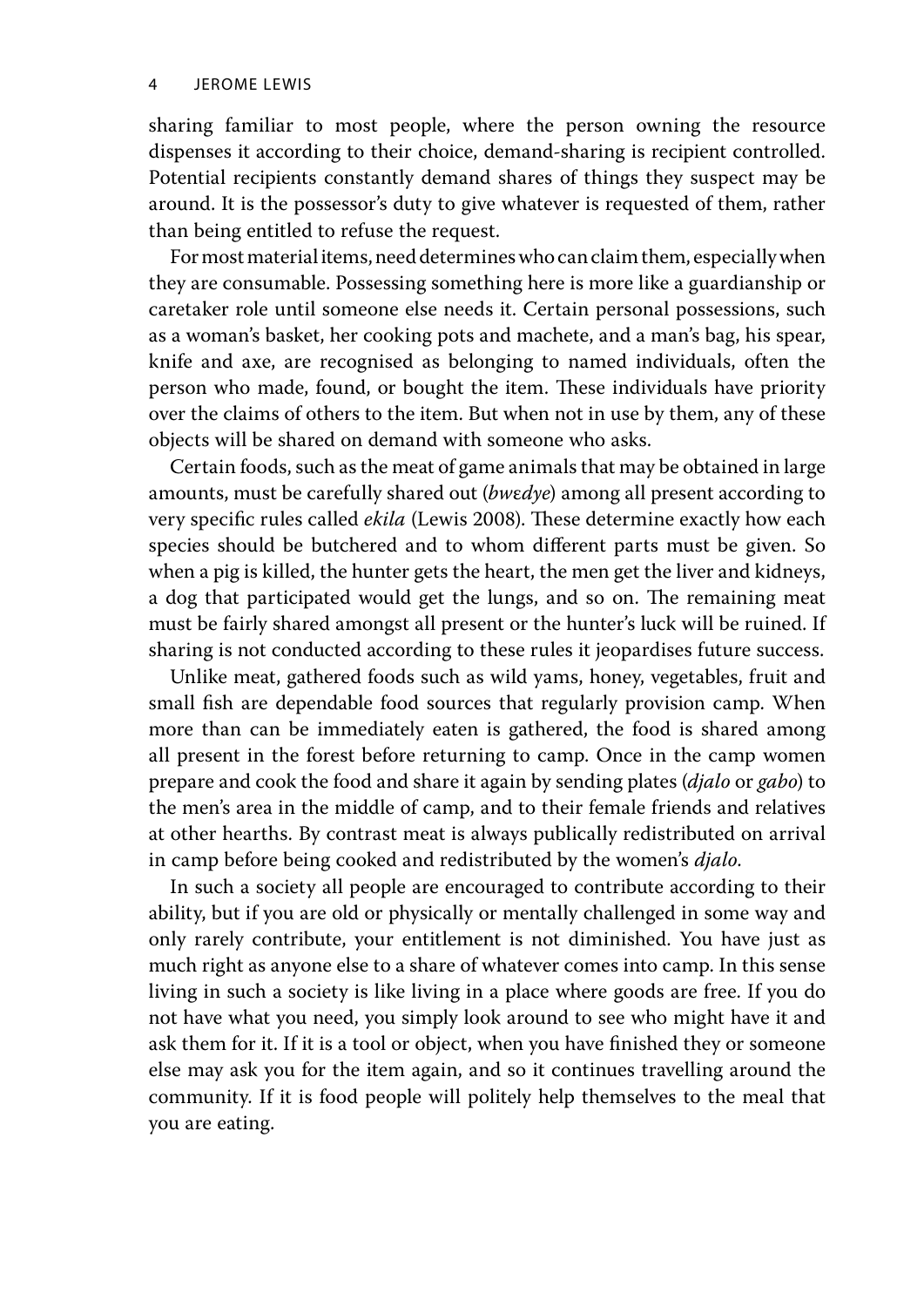sharing familiar to most people, where the person owning the resource dispenses it according to their choice, demand-sharing is recipient controlled. Potential recipients constantly demand shares of things they suspect may be around. It is the possessor's duty to give whatever is requested of them, rather than being entitled to refuse the request.

For most material items, need determines who can claim them, especially when they are consumable. Possessing something here is more like a guardianship or caretaker role until someone else needs it. Certain personal possessions, such as a woman's basket, her cooking pots and machete, and a man's bag, his spear, knife and axe, are recognised as belonging to named individuals, often the person who made, found, or bought the item. These individuals have priority over the claims of others to the item. But when not in use by them, any of these objects will be shared on demand with someone who asks.

Certain foods, such as the meat of game animals that may be obtained in large amounts, must be carefully shared out (*bw*ε*dye*) among all present according to very specific rules called *ekila* (Lewis 2008). These determine exactly how each species should be butchered and to whom different parts must be given. So when a pig is killed, the hunter gets the heart, the men get the liver and kidneys, a dog that participated would get the lungs, and so on. The remaining meat must be fairly shared amongst all present or the hunter's luck will be ruined. If sharing is not conducted according to these rules it jeopardises future success.

Unlike meat, gathered foods such as wild yams, honey, vegetables, fruit and small fish are dependable food sources that regularly provision camp. When more than can be immediately eaten is gathered, the food is shared among all present in the forest before returning to camp. Once in the camp women prepare and cook the food and share it again by sending plates (*djalo* or *gabo*) to the men's area in the middle of camp, and to their female friends and relatives at other hearths. By contrast meat is always publically redistributed on arrival in camp before being cooked and redistributed by the women's *djalo*.

In such a society all people are encouraged to contribute according to their ability, but if you are old or physically or mentally challenged in some way and only rarely contribute, your entitlement is not diminished. You have just as much right as anyone else to a share of whatever comes into camp. In this sense living in such a society is like living in a place where goods are free. If you do not have what you need, you simply look around to see who might have it and ask them for it. If it is a tool or object, when you have finished they or someone else may ask you for the item again, and so it continues travelling around the community. If it is food people will politely help themselves to the meal that you are eating.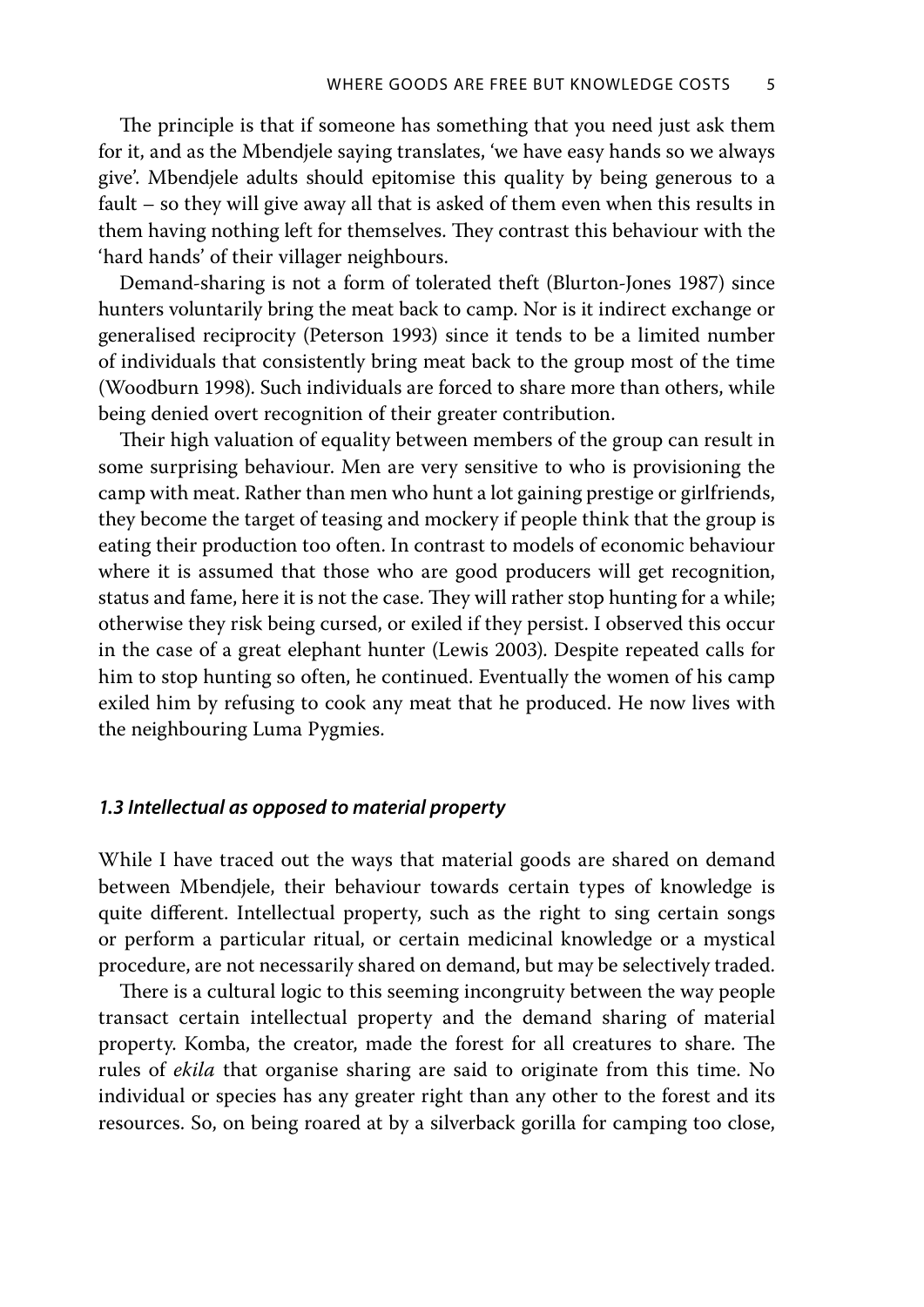The principle is that if someone has something that you need just ask them for it, and as the Mbendjele saying translates, 'we have easy hands so we always give'. Mbendjele adults should epitomise this quality by being generous to a fault – so they will give away all that is asked of them even when this results in them having nothing left for themselves. They contrast this behaviour with the 'hard hands' of their villager neighbours.

Demand-sharing is not a form of tolerated theft (Blurton-Jones 1987) since hunters voluntarily bring the meat back to camp. Nor is it indirect exchange or generalised reciprocity (Peterson 1993) since it tends to be a limited number of individuals that consistently bring meat back to the group most of the time (Woodburn 1998). Such individuals are forced to share more than others, while being denied overt recognition of their greater contribution.

Their high valuation of equality between members of the group can result in some surprising behaviour. Men are very sensitive to who is provisioning the camp with meat. Rather than men who hunt a lot gaining prestige or girlfriends, they become the target of teasing and mockery if people think that the group is eating their production too often. In contrast to models of economic behaviour where it is assumed that those who are good producers will get recognition, status and fame, here it is not the case. They will rather stop hunting for a while; otherwise they risk being cursed, or exiled if they persist. I observed this occur in the case of a great elephant hunter (Lewis 2003). Despite repeated calls for him to stop hunting so often, he continued. Eventually the women of his camp exiled him by refusing to cook any meat that he produced. He now lives with the neighbouring Luma Pygmies.

#### *1.3 Intellectual as opposed to material property*

While I have traced out the ways that material goods are shared on demand between Mbendjele, their behaviour towards certain types of knowledge is quite different. Intellectual property, such as the right to sing certain songs or perform a particular ritual, or certain medicinal knowledge or a mystical procedure, are not necessarily shared on demand, but may be selectively traded.

There is a cultural logic to this seeming incongruity between the way people transact certain intellectual property and the demand sharing of material property. Komba, the creator, made the forest for all creatures to share. The rules of *ekila* that organise sharing are said to originate from this time. No individual or species has any greater right than any other to the forest and its resources. So, on being roared at by a silverback gorilla for camping too close,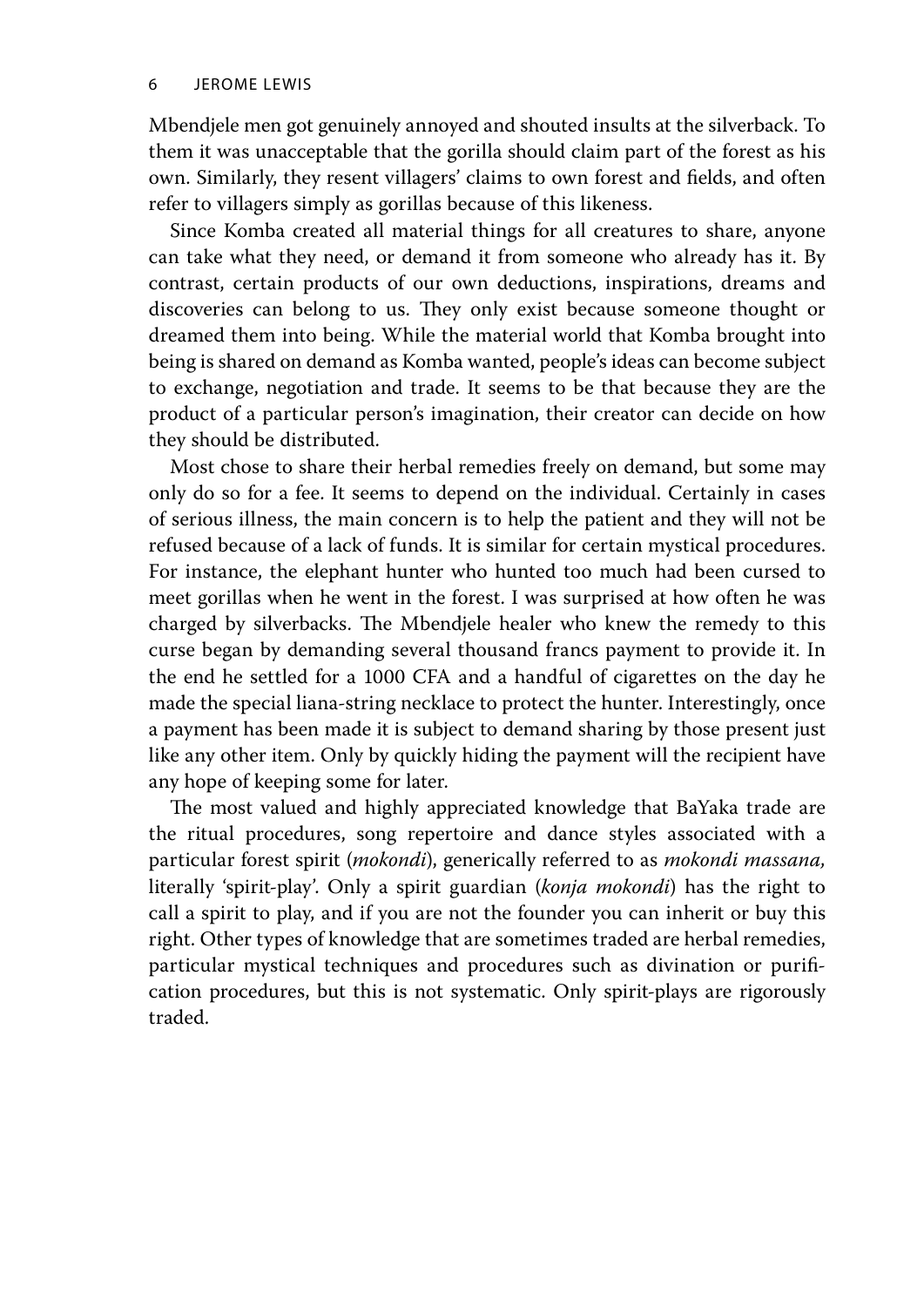Mbendjele men got genuinely annoyed and shouted insults at the silverback. To them it was unacceptable that the gorilla should claim part of the forest as his own. Similarly, they resent villagers' claims to own forest and fields, and often refer to villagers simply as gorillas because of this likeness.

Since Komba created all material things for all creatures to share, anyone can take what they need, or demand it from someone who already has it. By contrast, certain products of our own deductions, inspirations, dreams and discoveries can belong to us. They only exist because someone thought or dreamed them into being. While the material world that Komba brought into being is shared on demand as Komba wanted, people's ideas can become subject to exchange, negotiation and trade. It seems to be that because they are the product of a particular person's imagination, their creator can decide on how they should be distributed.

Most chose to share their herbal remedies freely on demand, but some may only do so for a fee. It seems to depend on the individual. Certainly in cases of serious illness, the main concern is to help the patient and they will not be refused because of a lack of funds. It is similar for certain mystical procedures. For instance, the elephant hunter who hunted too much had been cursed to meet gorillas when he went in the forest. I was surprised at how often he was charged by silverbacks. The Mbendjele healer who knew the remedy to this curse began by demanding several thousand francs payment to provide it. In the end he settled for a 1000 CFA and a handful of cigarettes on the day he made the special liana-string necklace to protect the hunter. Interestingly, once a payment has been made it is subject to demand sharing by those present just like any other item. Only by quickly hiding the payment will the recipient have any hope of keeping some for later.

The most valued and highly appreciated knowledge that BaYaka trade are the ritual procedures, song repertoire and dance styles associated with a particular forest spirit (*mokondi*), generically referred to as *mokondi massana,*  literally 'spirit-play'. Only a spirit guardian (*konja mokondi*) has the right to call a spirit to play, and if you are not the founder you can inherit or buy this right. Other types of knowledge that are sometimes traded are herbal remedies, particular mystical techniques and procedures such as divination or purification procedures, but this is not systematic. Only spirit-plays are rigorously traded.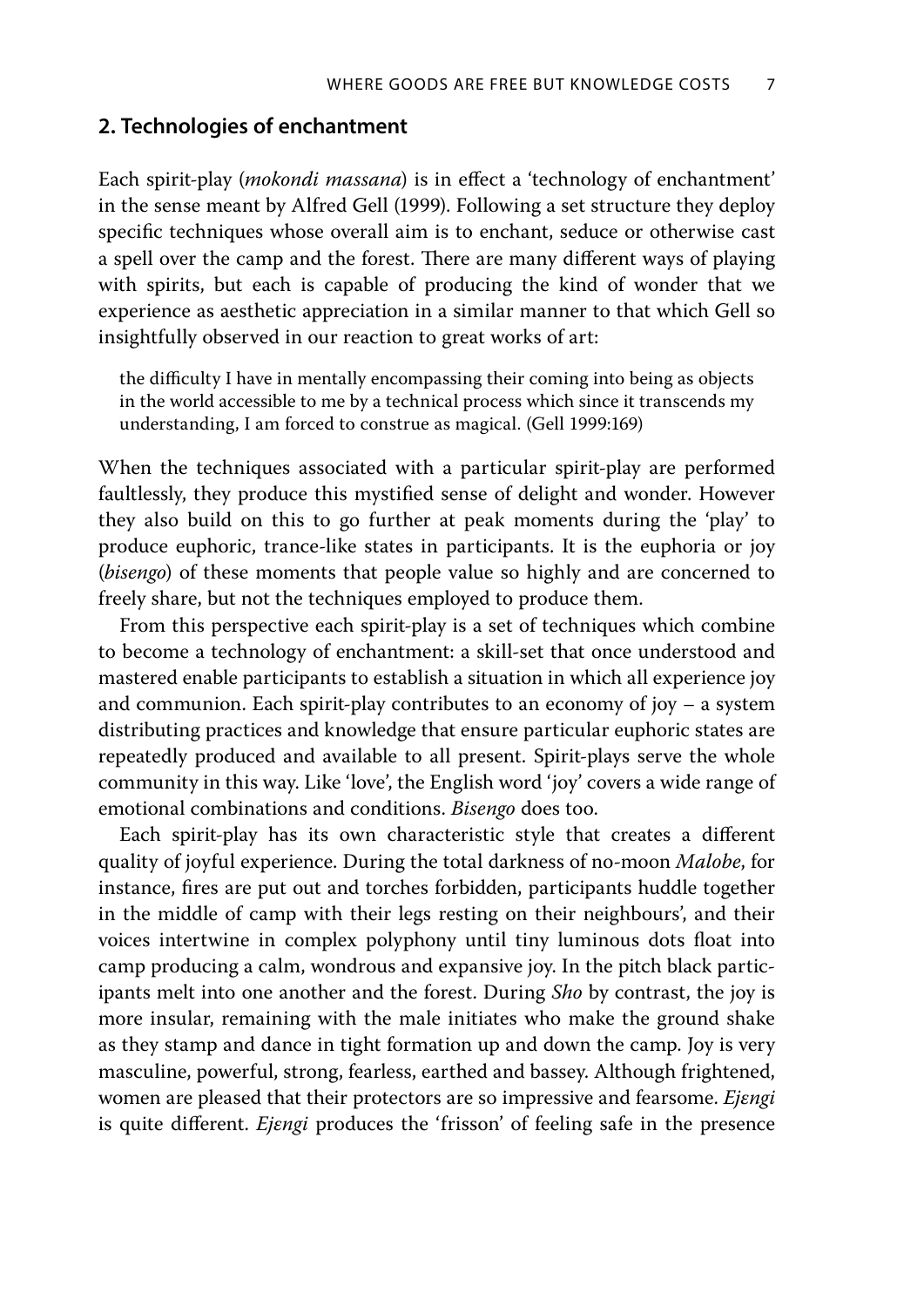### **2. Technologies of enchantment**

Each spirit-play (*mokondi massana*) is in effect a 'technology of enchantment' in the sense meant by Alfred Gell (1999). Following a set structure they deploy specific techniques whose overall aim is to enchant, seduce or otherwise cast a spell over the camp and the forest. There are many different ways of playing with spirits, but each is capable of producing the kind of wonder that we experience as aesthetic appreciation in a similar manner to that which Gell so insightfully observed in our reaction to great works of art:

the difficulty I have in mentally encompassing their coming into being as objects in the world accessible to me by a technical process which since it transcends my understanding, I am forced to construe as magical. (Gell 1999:169)

When the techniques associated with a particular spirit-play are performed faultlessly, they produce this mystified sense of delight and wonder. However they also build on this to go further at peak moments during the 'play' to produce euphoric, trance-like states in participants. It is the euphoria or joy (*bisengo*) of these moments that people value so highly and are concerned to freely share, but not the techniques employed to produce them.

From this perspective each spirit-play is a set of techniques which combine to become a technology of enchantment: a skill-set that once understood and mastered enable participants to establish a situation in which all experience joy and communion. Each spirit-play contributes to an economy of joy *–* a system distributing practices and knowledge that ensure particular euphoric states are repeatedly produced and available to all present. Spirit-plays serve the whole community in this way. Like 'love', the English word 'joy' covers a wide range of emotional combinations and conditions. *Bisengo* does too.

Each spirit-play has its own characteristic style that creates a different quality of joyful experience. During the total darkness of no-moon *Malobe*, for instance, fires are put out and torches forbidden, participants huddle together in the middle of camp with their legs resting on their neighbours', and their voices intertwine in complex polyphony until tiny luminous dots float into camp producing a calm, wondrous and expansive joy. In the pitch black participants melt into one another and the forest. During *Sho* by contrast, the joy is more insular, remaining with the male initiates who make the ground shake as they stamp and dance in tight formation up and down the camp. Joy is very masculine, powerful, strong, fearless, earthed and bassey. Although frightened, women are pleased that their protectors are so impressive and fearsome. *Ejεngi* is quite different. *Ejεngi* produces the 'frisson' of feeling safe in the presence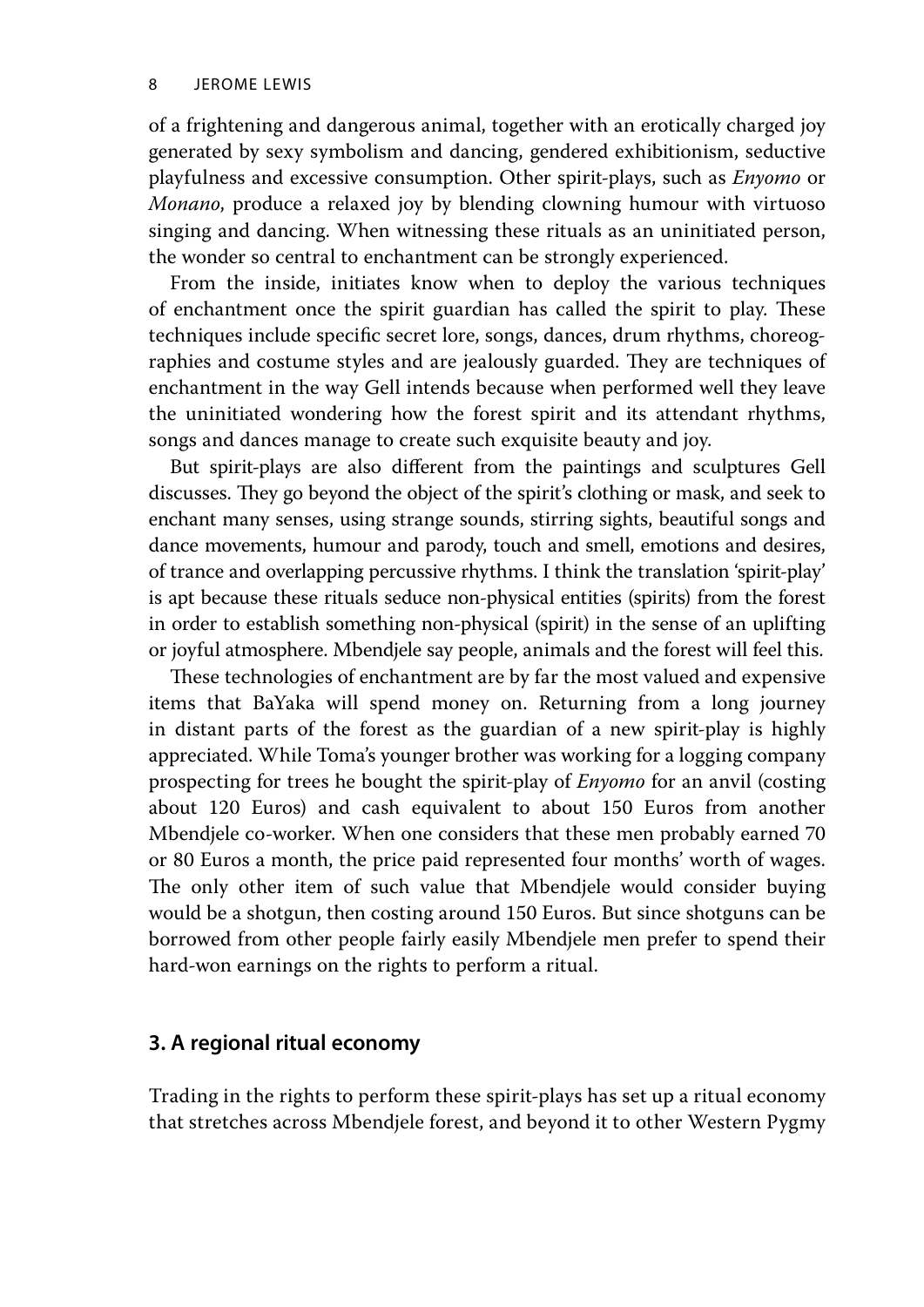of a frightening and dangerous animal, together with an erotically charged joy generated by sexy symbolism and dancing, gendered exhibitionism, seductive playfulness and excessive consumption. Other spirit-plays, such as *Enyomo* or *Monano*, produce a relaxed joy by blending clowning humour with virtuoso singing and dancing. When witnessing these rituals as an uninitiated person, the wonder so central to enchantment can be strongly experienced.

From the inside, initiates know when to deploy the various techniques of enchantment once the spirit guardian has called the spirit to play. These techniques include specific secret lore, songs, dances, drum rhythms, choreographies and costume styles and are jealously guarded. They are techniques of enchantment in the way Gell intends because when performed well they leave the uninitiated wondering how the forest spirit and its attendant rhythms, songs and dances manage to create such exquisite beauty and joy.

But spirit-plays are also different from the paintings and sculptures Gell discusses. They go beyond the object of the spirit's clothing or mask, and seek to enchant many senses, using strange sounds, stirring sights, beautiful songs and dance movements, humour and parody, touch and smell, emotions and desires, of trance and overlapping percussive rhythms. I think the translation 'spirit-play' is apt because these rituals seduce non-physical entities (spirits) from the forest in order to establish something non-physical (spirit) in the sense of an uplifting or joyful atmosphere. Mbendjele say people, animals and the forest will feel this.

These technologies of enchantment are by far the most valued and expensive items that BaYaka will spend money on. Returning from a long journey in distant parts of the forest as the guardian of a new spirit-play is highly appreciated. While Toma's younger brother was working for a logging company prospecting for trees he bought the spirit-play of *Enyomo* for an anvil (costing about 120 Euros) and cash equivalent to about 150 Euros from another Mbendjele co-worker. When one considers that these men probably earned 70 or 80 Euros a month, the price paid represented four months' worth of wages. The only other item of such value that Mbendjele would consider buying would be a shotgun, then costing around 150 Euros. But since shotguns can be borrowed from other people fairly easily Mbendjele men prefer to spend their hard-won earnings on the rights to perform a ritual.

## **3. A regional ritual economy**

Trading in the rights to perform these spirit-plays has set up a ritual economy that stretches across Mbendjele forest, and beyond it to other Western Pygmy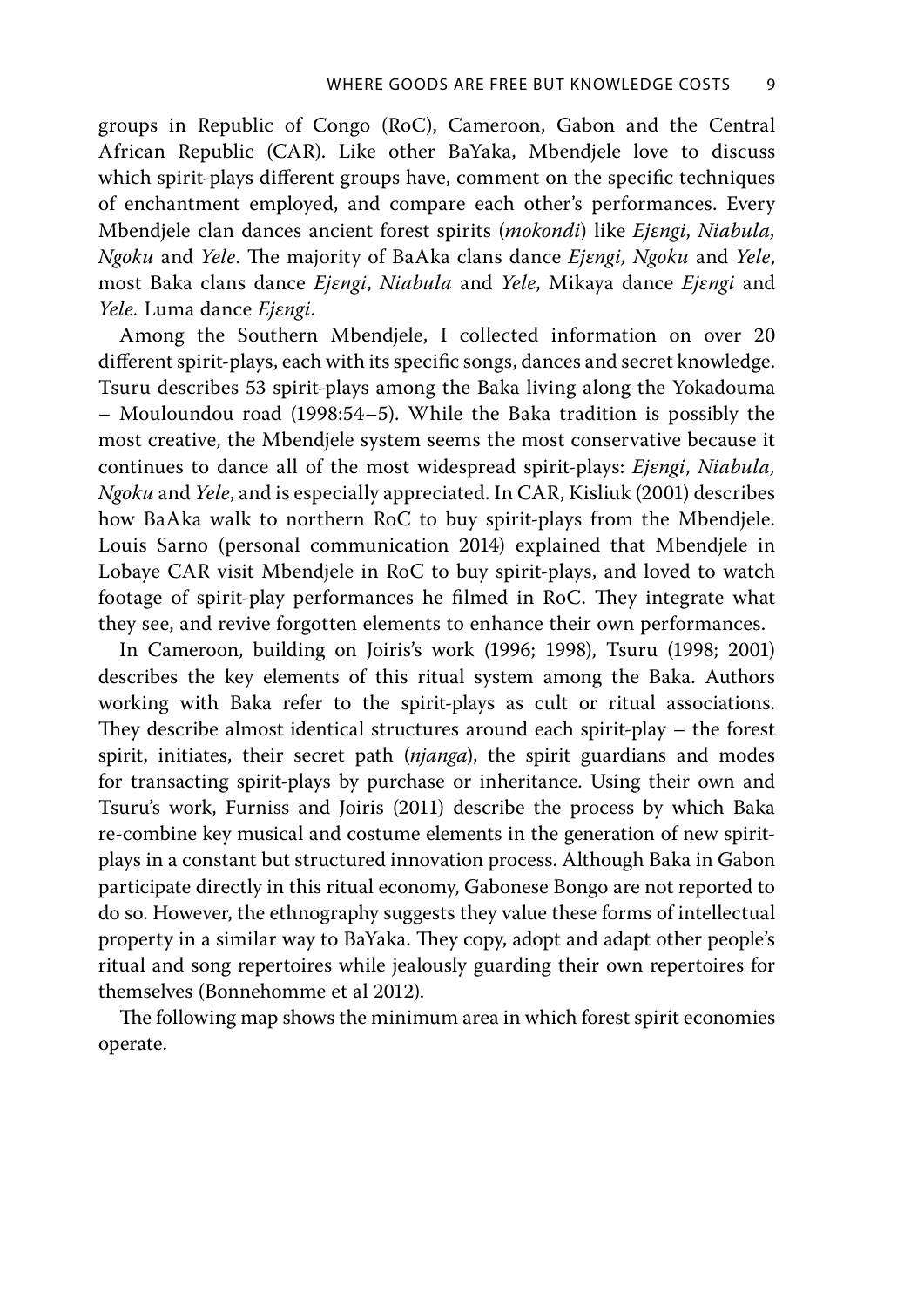groups in Republic of Congo (RoC), Cameroon, Gabon and the Central African Republic (CAR). Like other BaYaka, Mbendjele love to discuss which spirit-plays different groups have, comment on the specific techniques of enchantment employed, and compare each other's performances. Every Mbendjele clan dances ancient forest spirits (*mokondi*) like *Ejεngi*, *Niabula, Ngoku* and *Yele*. The majority of BaAka clans dance *Ejεngi, Ngoku* and *Yele*, most Baka clans dance *Ejεngi*, *Niabula* and *Yele*, Mikaya dance *Ejεngi* and *Yele.* Luma dance *Ejεngi*.

Among the Southern Mbendjele, I collected information on over 20 different spirit-plays, each with its specific songs, dances and secret knowledge. Tsuru describes 53 spirit-plays among the Baka living along the Yokadouma – Mouloundou road (1998:54–5). While the Baka tradition is possibly the most creative, the Mbendjele system seems the most conservative because it continues to dance all of the most widespread spirit-plays: *Ejεngi*, *Niabula, Ngoku* and *Yele*, and is especially appreciated. In CAR, Kisliuk (2001) describes how BaAka walk to northern RoC to buy spirit-plays from the Mbendjele. Louis Sarno (personal communication 2014) explained that Mbendjele in Lobaye CAR visit Mbendjele in RoC to buy spirit-plays, and loved to watch footage of spirit-play performances he filmed in RoC. They integrate what they see, and revive forgotten elements to enhance their own performances.

In Cameroon, building on Joiris's work (1996; 1998), Tsuru (1998; 2001) describes the key elements of this ritual system among the Baka. Authors working with Baka refer to the spirit-plays as cult or ritual associations. They describe almost identical structures around each spirit-play – the forest spirit, initiates, their secret path (*njanga*), the spirit guardians and modes for transacting spirit-plays by purchase or inheritance. Using their own and Tsuru's work, Furniss and Joiris (2011) describe the process by which Baka re-combine key musical and costume elements in the generation of new spiritplays in a constant but structured innovation process. Although Baka in Gabon participate directly in this ritual economy, Gabonese Bongo are not reported to do so. However, the ethnography suggests they value these forms of intellectual property in a similar way to BaYaka. They copy, adopt and adapt other people's ritual and song repertoires while jealously guarding their own repertoires for themselves (Bonnehomme et al 2012).

The following map shows the minimum area in which forest spirit economies operate.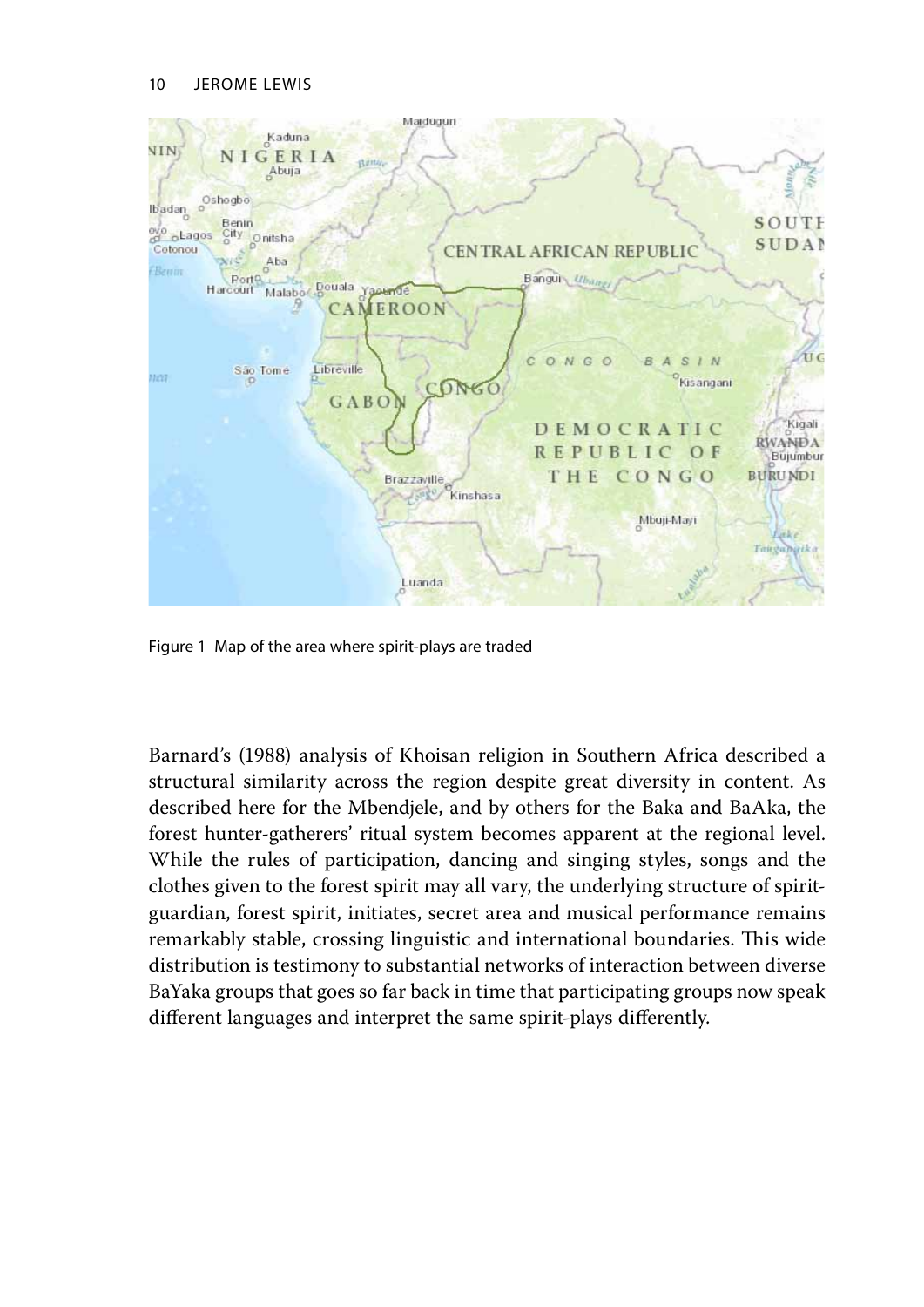

Figure 1 Map of the area where spirit-plays are traded

Barnard's (1988) analysis of Khoisan religion in Southern Africa described a structural similarity across the region despite great diversity in content. As described here for the Mbendjele, and by others for the Baka and BaAka, the forest hunter-gatherers' ritual system becomes apparent at the regional level. While the rules of participation, dancing and singing styles, songs and the clothes given to the forest spirit may all vary, the underlying structure of spiritguardian, forest spirit, initiates, secret area and musical performance remains remarkably stable, crossing linguistic and international boundaries. This wide distribution is testimony to substantial networks of interaction between diverse BaYaka groups that goes so far back in time that participating groups now speak different languages and interpret the same spirit-plays differently.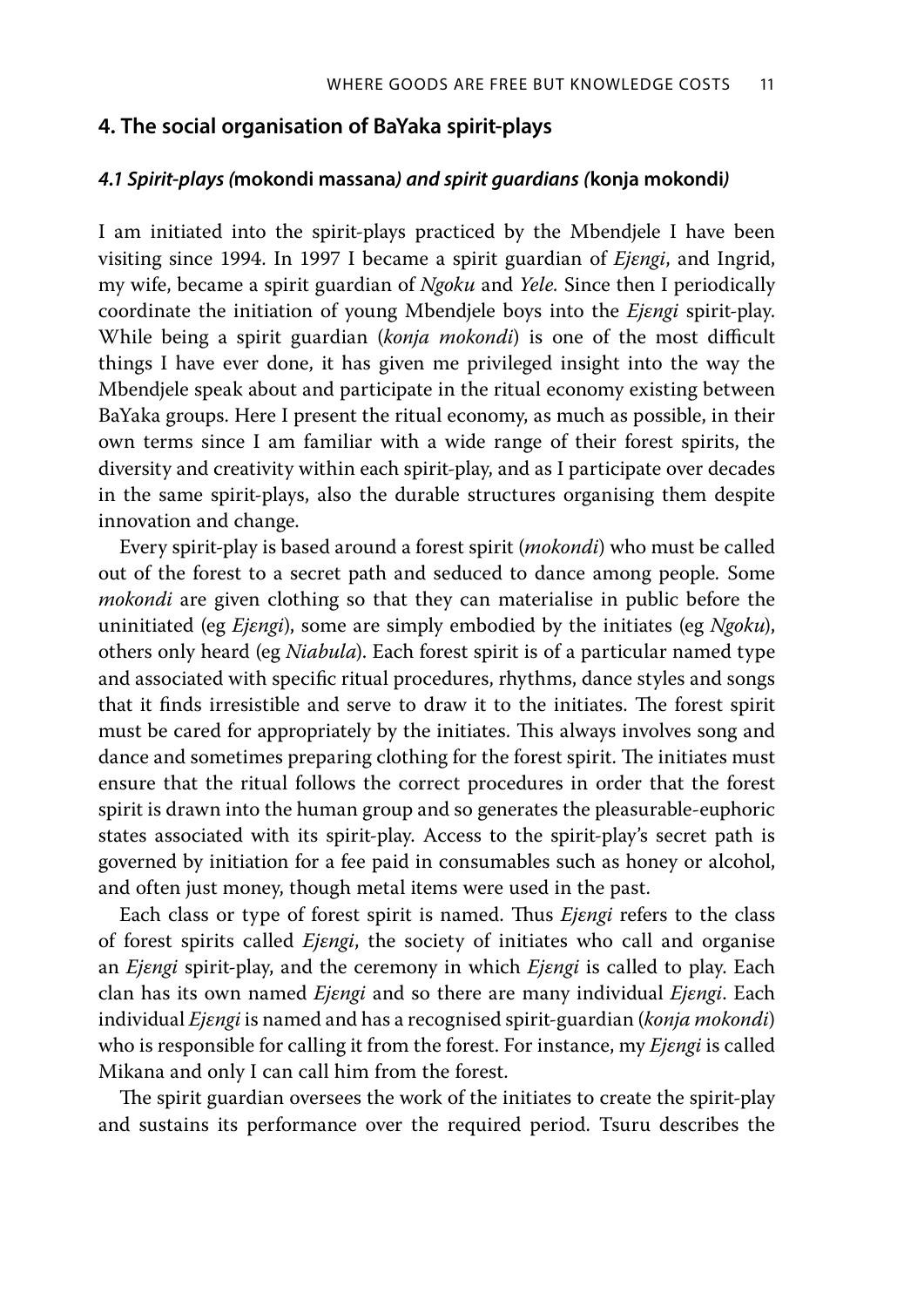## **4. The social organisation of BaYaka spirit-plays**

## *4.1 Spirit-plays (***mokondi massana***) and spirit guardians (***konja mokondi***)*

I am initiated into the spirit-plays practiced by the Mbendjele I have been visiting since 1994. In 1997 I became a spirit guardian of *Ejεngi*, and Ingrid, my wife, became a spirit guardian of *Ngoku* and *Yele.* Since then I periodically coordinate the initiation of young Mbendjele boys into the *Ejεngi* spirit-play. While being a spirit guardian (*konja mokondi*) is one of the most difficult things I have ever done, it has given me privileged insight into the way the Mbendjele speak about and participate in the ritual economy existing between BaYaka groups. Here I present the ritual economy, as much as possible, in their own terms since I am familiar with a wide range of their forest spirits, the diversity and creativity within each spirit-play, and as I participate over decades in the same spirit-plays, also the durable structures organising them despite innovation and change.

Every spirit-play is based around a forest spirit (*mokondi*) who must be called out of the forest to a secret path and seduced to dance among people*.* Some *mokondi* are given clothing so that they can materialise in public before the uninitiated (eg *Ejεngi*), some are simply embodied by the initiates (eg *Ngoku*), others only heard (eg *Niabula*). Each forest spirit is of a particular named type and associated with specific ritual procedures, rhythms, dance styles and songs that it finds irresistible and serve to draw it to the initiates. The forest spirit must be cared for appropriately by the initiates. This always involves song and dance and sometimes preparing clothing for the forest spirit. The initiates must ensure that the ritual follows the correct procedures in order that the forest spirit is drawn into the human group and so generates the pleasurable-euphoric states associated with its spirit-play. Access to the spirit-play's secret path is governed by initiation for a fee paid in consumables such as honey or alcohol, and often just money, though metal items were used in the past.

Each class or type of forest spirit is named. Thus *Ejεngi* refers to the class of forest spirits called *Ejεngi*, the society of initiates who call and organise an *Ejεngi* spirit-play, and the ceremony in which *Ejεngi* is called to play. Each clan has its own named *Ejεngi* and so there are many individual *Ejεngi*. Each individual *Ejεngi* is named and has a recognised spirit-guardian (*konja mokondi*) who is responsible for calling it from the forest. For instance, my *Ejεngi* is called Mikana and only I can call him from the forest.

The spirit guardian oversees the work of the initiates to create the spirit-play and sustains its performance over the required period. Tsuru describes the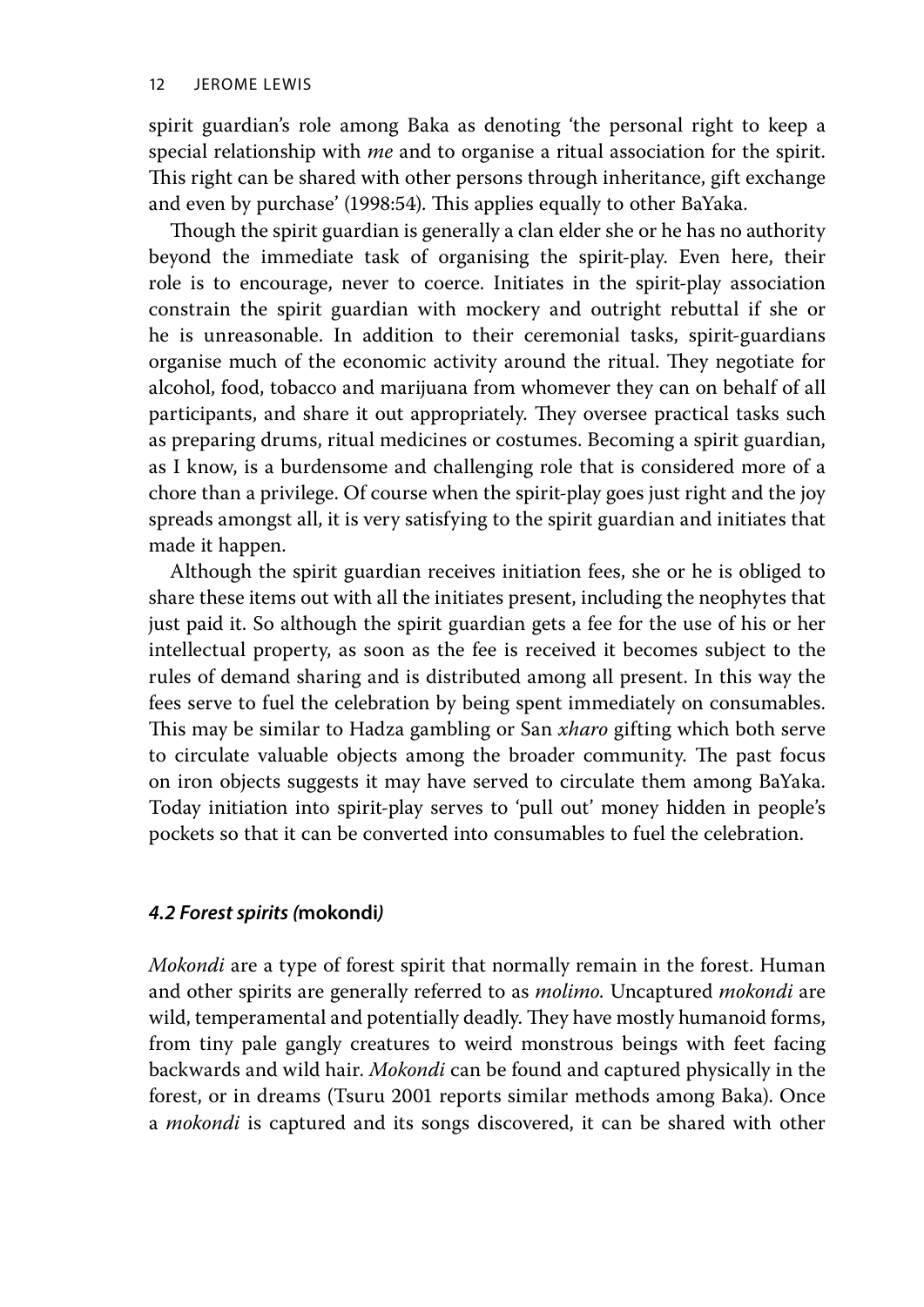spirit guardian's role among Baka as denoting 'the personal right to keep a special relationship with *me* and to organise a ritual association for the spirit. This right can be shared with other persons through inheritance, gift exchange and even by purchase' (1998:54). This applies equally to other BaYaka.

Though the spirit guardian is generally a clan elder she or he has no authority beyond the immediate task of organising the spirit-play. Even here, their role is to encourage, never to coerce. Initiates in the spirit-play association constrain the spirit guardian with mockery and outright rebuttal if she or he is unreasonable. In addition to their ceremonial tasks, spirit-guardians organise much of the economic activity around the ritual. They negotiate for alcohol, food, tobacco and marijuana from whomever they can on behalf of all participants, and share it out appropriately. They oversee practical tasks such as preparing drums, ritual medicines or costumes. Becoming a spirit guardian, as I know, is a burdensome and challenging role that is considered more of a chore than a privilege. Of course when the spirit-play goes just right and the joy spreads amongst all, it is very satisfying to the spirit guardian and initiates that made it happen.

Although the spirit guardian receives initiation fees, she or he is obliged to share these items out with all the initiates present, including the neophytes that just paid it. So although the spirit guardian gets a fee for the use of his or her intellectual property, as soon as the fee is received it becomes subject to the rules of demand sharing and is distributed among all present. In this way the fees serve to fuel the celebration by being spent immediately on consumables. This may be similar to Hadza gambling or San *xharo* gifting which both serve to circulate valuable objects among the broader community. The past focus on iron objects suggests it may have served to circulate them among BaYaka. Today initiation into spirit-play serves to 'pull out' money hidden in people's pockets so that it can be converted into consumables to fuel the celebration.

#### *4.2 Forest spirits (***mokondi***)*

*Mokondi* are a type of forest spirit that normally remain in the forest. Human and other spirits are generally referred to as *molimo.* Uncaptured *mokondi* are wild, temperamental and potentially deadly. They have mostly humanoid forms, from tiny pale gangly creatures to weird monstrous beings with feet facing backwards and wild hair. *Mokondi* can be found and captured physically in the forest, or in dreams (Tsuru 2001 reports similar methods among Baka). Once a *mokondi* is captured and its songs discovered, it can be shared with other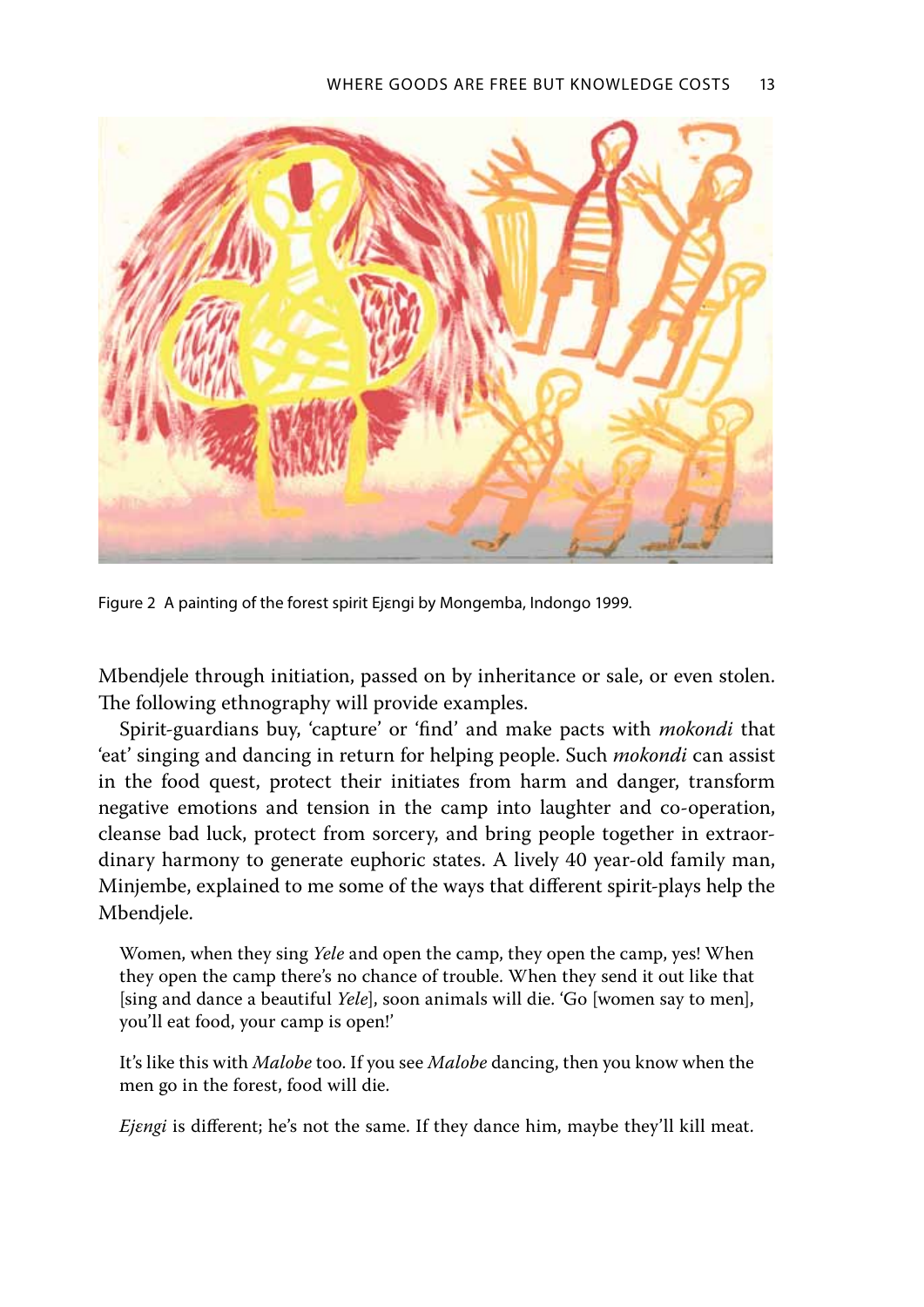

Figure 2 A painting of the forest spirit Ejangi by Mongemba, Indongo 1999.

Mbendjele through initiation, passed on by inheritance or sale, or even stolen. The following ethnography will provide examples.

Spirit-guardians buy, 'capture' or 'find' and make pacts with *mokondi* that 'eat' singing and dancing in return for helping people. Such *mokondi* can assist in the food quest, protect their initiates from harm and danger, transform negative emotions and tension in the camp into laughter and co-operation, cleanse bad luck, protect from sorcery, and bring people together in extraordinary harmony to generate euphoric states. A lively 40 year-old family man, Minjembe, explained to me some of the ways that different spirit-plays help the Mbendjele.

Women, when they sing *Yele* and open the camp, they open the camp, yes! When they open the camp there's no chance of trouble. When they send it out like that [sing and dance a beautiful *Yele*], soon animals will die. 'Go [women say to men], you'll eat food, your camp is open!'

It's like this with *Malobe* too. If you see *Malobe* dancing, then you know when the men go in the forest, food will die.

*Ejengi* is different; he's not the same. If they dance him, maybe they'll kill meat.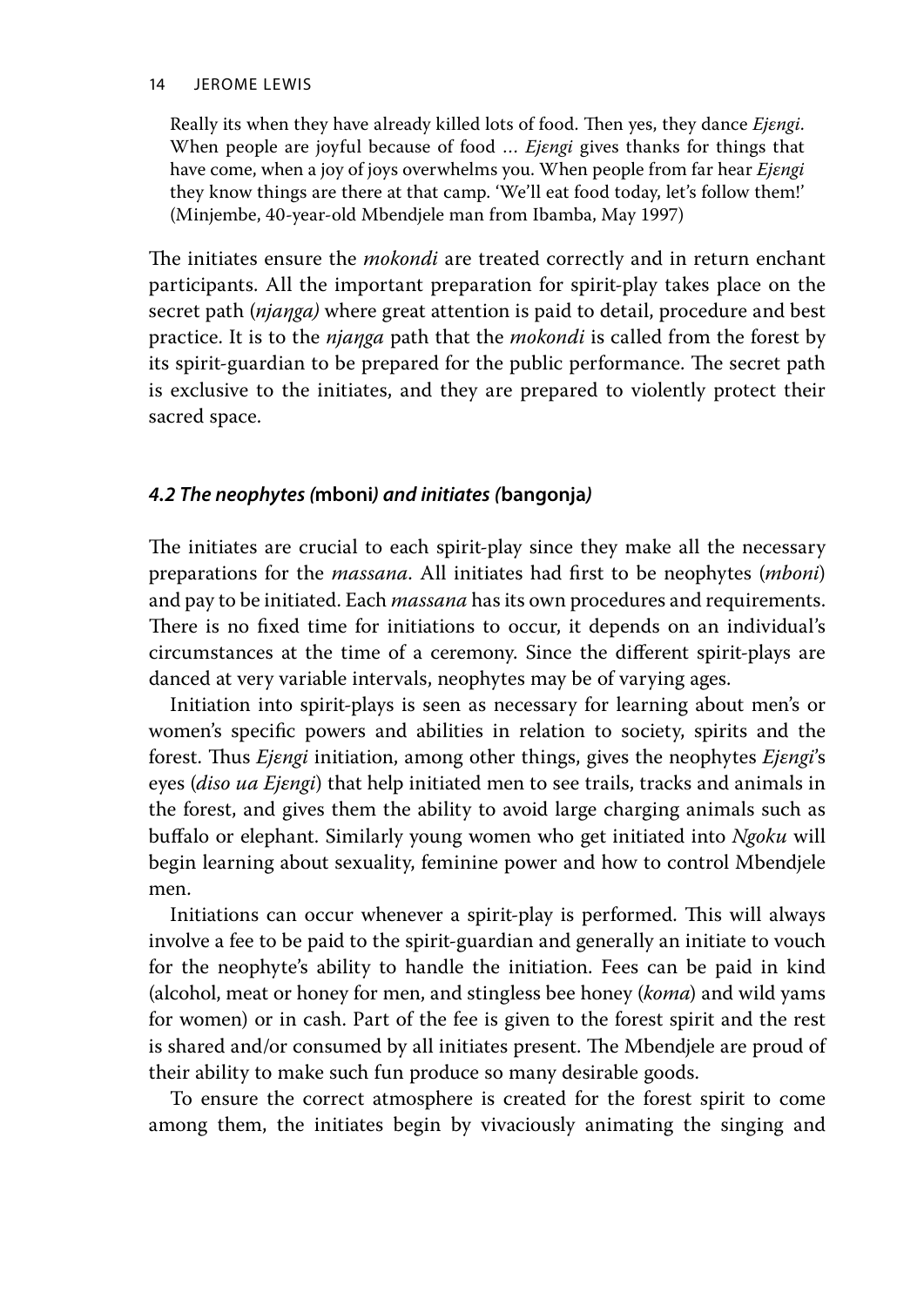#### 14 **JEROME LEWIS**

Really its when they have already killed lots of food. Then yes, they dance *Ejεngi*. When people are joyful because of food … *Ejεngi* gives thanks for things that have come, when a joy of joys overwhelms you. When people from far hear *Ejεngi* they know things are there at that camp. 'We'll eat food today, let's follow them!' (Minjembe, 40-year-old Mbendjele man from Ibamba, May 1997)

The initiates ensure the *mokondi* are treated correctly and in return enchant participants. All the important preparation for spirit-play takes place on the secret path (*njaηga)* where great attention is paid to detail, procedure and best practice. It is to the *njaηga* path that the *mokondi* is called from the forest by its spirit-guardian to be prepared for the public performance. The secret path is exclusive to the initiates, and they are prepared to violently protect their sacred space.

#### *4.2 The neophytes (***mboni***) and initiates (***bangonja***)*

The initiates are crucial to each spirit-play since they make all the necessary preparations for the *massana*. All initiates had first to be neophytes (*mboni*) and pay to be initiated. Each *massana* has its own procedures and requirements. There is no fixed time for initiations to occur, it depends on an individual's circumstances at the time of a ceremony. Since the different spirit-plays are danced at very variable intervals, neophytes may be of varying ages.

Initiation into spirit-plays is seen as necessary for learning about men's or women's specific powers and abilities in relation to society, spirits and the forest. Thus *Ejεngi* initiation, among other things, gives the neophytes *Ejεngi*'s eyes (*diso ua Ejεngi*) that help initiated men to see trails, tracks and animals in the forest, and gives them the ability to avoid large charging animals such as buffalo or elephant. Similarly young women who get initiated into *Ngoku* will begin learning about sexuality, feminine power and how to control Mbendjele men.

Initiations can occur whenever a spirit-play is performed. This will always involve a fee to be paid to the spirit-guardian and generally an initiate to vouch for the neophyte's ability to handle the initiation. Fees can be paid in kind (alcohol, meat or honey for men, and stingless bee honey (*koma*) and wild yams for women) or in cash. Part of the fee is given to the forest spirit and the rest is shared and/or consumed by all initiates present. The Mbendjele are proud of their ability to make such fun produce so many desirable goods.

To ensure the correct atmosphere is created for the forest spirit to come among them, the initiates begin by vivaciously animating the singing and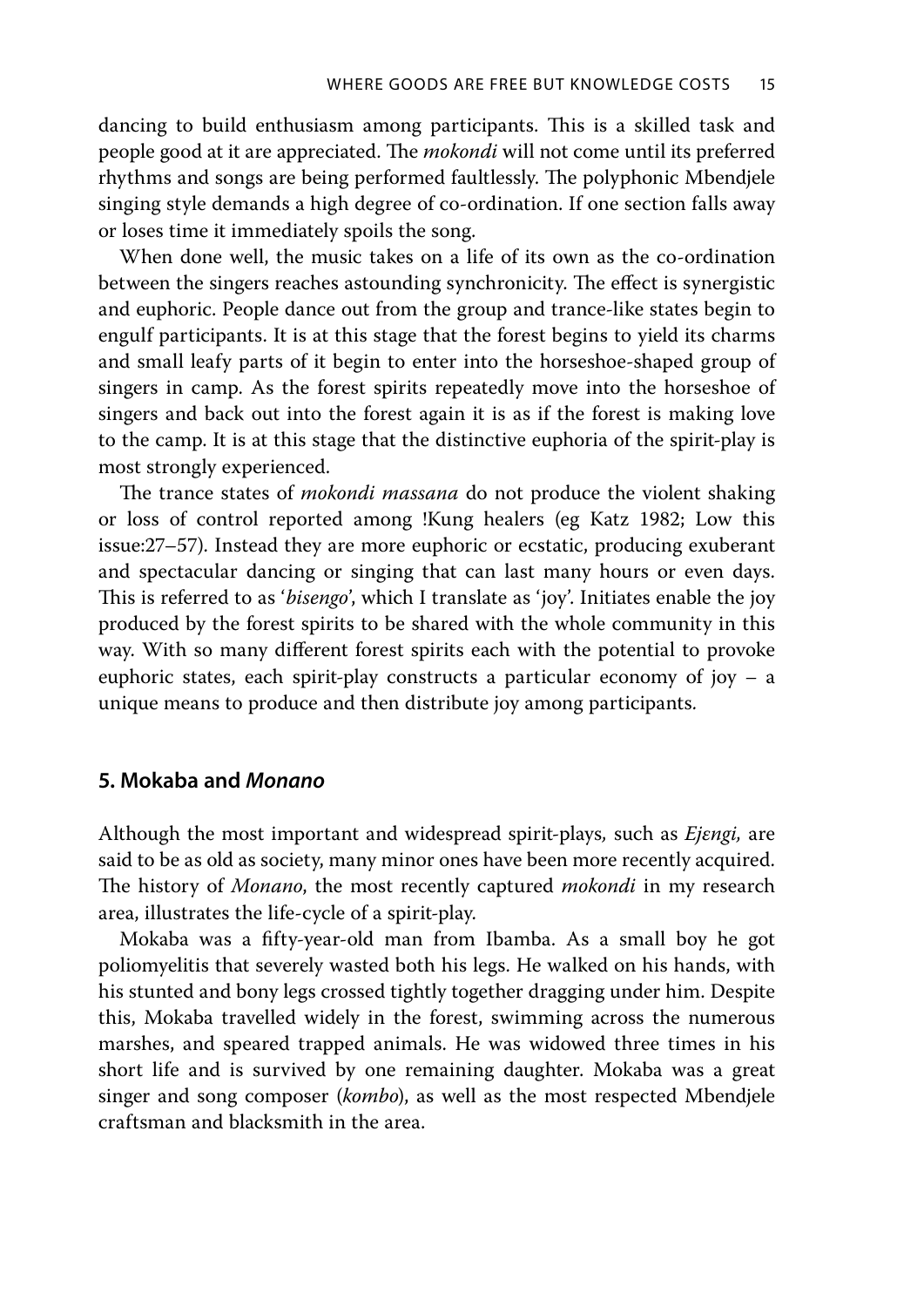dancing to build enthusiasm among participants. This is a skilled task and people good at it are appreciated. The *mokondi* will not come until its preferred rhythms and songs are being performed faultlessly. The polyphonic Mbendjele singing style demands a high degree of co-ordination. If one section falls away or loses time it immediately spoils the song.

When done well, the music takes on a life of its own as the co-ordination between the singers reaches astounding synchronicity. The effect is synergistic and euphoric. People dance out from the group and trance-like states begin to engulf participants. It is at this stage that the forest begins to yield its charms and small leafy parts of it begin to enter into the horseshoe-shaped group of singers in camp. As the forest spirits repeatedly move into the horseshoe of singers and back out into the forest again it is as if the forest is making love to the camp. It is at this stage that the distinctive euphoria of the spirit-play is most strongly experienced.

The trance states of *mokondi massana* do not produce the violent shaking or loss of control reported among !Kung healers (eg Katz 1982; Low this issue:27–57). Instead they are more euphoric or ecstatic, producing exuberant and spectacular dancing or singing that can last many hours or even days. This is referred to as '*bisengo*', which I translate as 'joy'. Initiates enable the joy produced by the forest spirits to be shared with the whole community in this way. With so many different forest spirits each with the potential to provoke euphoric states, each spirit-play constructs a particular economy of joy *–* a unique means to produce and then distribute joy among participants*.*

#### **5. Mokaba and** *Monano*

Although the most important and widespread spirit-plays*,* such as *Ejεngi,* are said to be as old as society, many minor ones have been more recently acquired. The history of *Monano*, the most recently captured *mokondi* in my research area, illustrates the life-cycle of a spirit-play.

Mokaba was a fifty-year-old man from Ibamba. As a small boy he got poliomyelitis that severely wasted both his legs. He walked on his hands, with his stunted and bony legs crossed tightly together dragging under him. Despite this, Mokaba travelled widely in the forest, swimming across the numerous marshes, and speared trapped animals. He was widowed three times in his short life and is survived by one remaining daughter. Mokaba was a great singer and song composer (*kombo*), as well as the most respected Mbendjele craftsman and blacksmith in the area.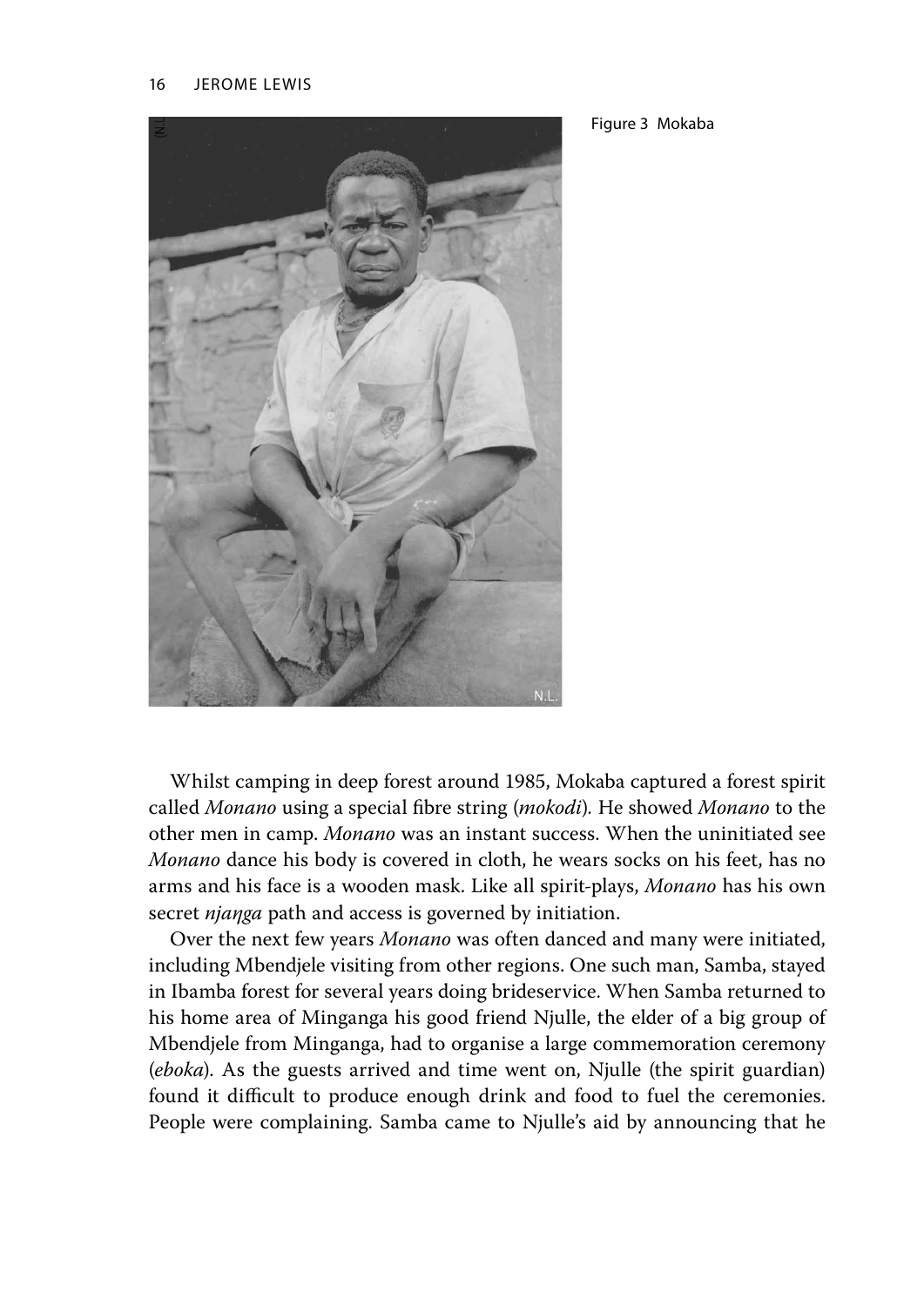

Figure 3 Mokaba

Whilst camping in deep forest around 1985, Mokaba captured a forest spirit called *Monano* using a special fibre string (*mokodi*)*.* He showed *Monano* to the other men in camp. *Monano* was an instant success. When the uninitiated see *Monano* dance his body is covered in cloth, he wears socks on his feet, has no arms and his face is a wooden mask. Like all spirit-plays, *Monano* has his own secret *njaηga* path and access is governed by initiation.

Over the next few years *Monano* was often danced and many were initiated, including Mbendjele visiting from other regions. One such man, Samba, stayed in Ibamba forest for several years doing brideservice. When Samba returned to his home area of Minganga his good friend Njulle, the elder of a big group of Mbendjele from Minganga, had to organise a large commemoration ceremony (*eboka*). As the guests arrived and time went on, Njulle (the spirit guardian) found it difficult to produce enough drink and food to fuel the ceremonies. People were complaining. Samba came to Njulle's aid by announcing that he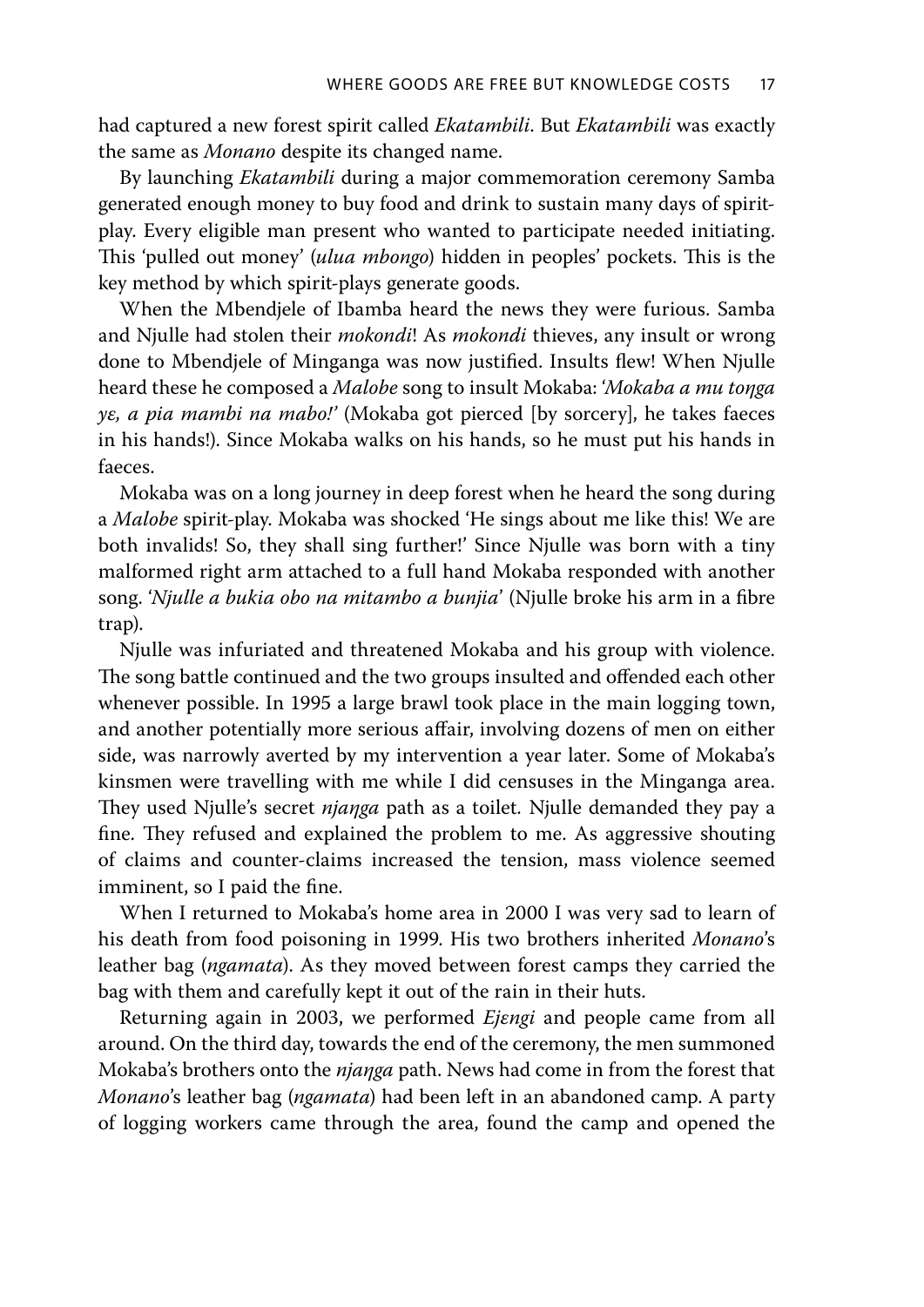had captured a new forest spirit called *Ekatambili*. But *Ekatambili* was exactly the same as *Monano* despite its changed name.

By launching *Ekatambili* during a major commemoration ceremony Samba generated enough money to buy food and drink to sustain many days of spiritplay. Every eligible man present who wanted to participate needed initiating. This 'pulled out money' (*ulua mbongo*) hidden in peoples' pockets. This is the key method by which spirit-plays generate goods.

When the Mbendjele of Ibamba heard the news they were furious. Samba and Njulle had stolen their *mokondi*! As *mokondi* thieves, any insult or wrong done to Mbendjele of Minganga was now justified. Insults flew! When Njulle heard these he composed a *Malobe* song to insult Mokaba: '*Mokaba a mu toηga yε, a pia mambi na mabo!'* (Mokaba got pierced [by sorcery], he takes faeces in his hands!). Since Mokaba walks on his hands, so he must put his hands in faeces.

Mokaba was on a long journey in deep forest when he heard the song during a *Malobe* spirit-play. Mokaba was shocked 'He sings about me like this! We are both invalids! So, they shall sing further!' Since Njulle was born with a tiny malformed right arm attached to a full hand Mokaba responded with another song. '*Njulle a bukia obo na mitambo a bunjia*' (Njulle broke his arm in a fibre trap).

Njulle was infuriated and threatened Mokaba and his group with violence. The song battle continued and the two groups insulted and offended each other whenever possible. In 1995 a large brawl took place in the main logging town, and another potentially more serious affair, involving dozens of men on either side, was narrowly averted by my intervention a year later. Some of Mokaba's kinsmen were travelling with me while I did censuses in the Minganga area. They used Njulle's secret *njaηga* path as a toilet*.* Njulle demanded they pay a fine. They refused and explained the problem to me. As aggressive shouting of claims and counter-claims increased the tension, mass violence seemed imminent, so I paid the fine.

When I returned to Mokaba's home area in 2000 I was very sad to learn of his death from food poisoning in 1999. His two brothers inherited *Monano*'s leather bag (*ngamata*). As they moved between forest camps they carried the bag with them and carefully kept it out of the rain in their huts.

Returning again in 2003, we performed *Ejεngi* and people came from all around. On the third day, towards the end of the ceremony, the men summoned Mokaba's brothers onto the *njaηga* path. News had come in from the forest that *Monano*'s leather bag (*ngamata*) had been left in an abandoned camp. A party of logging workers came through the area, found the camp and opened the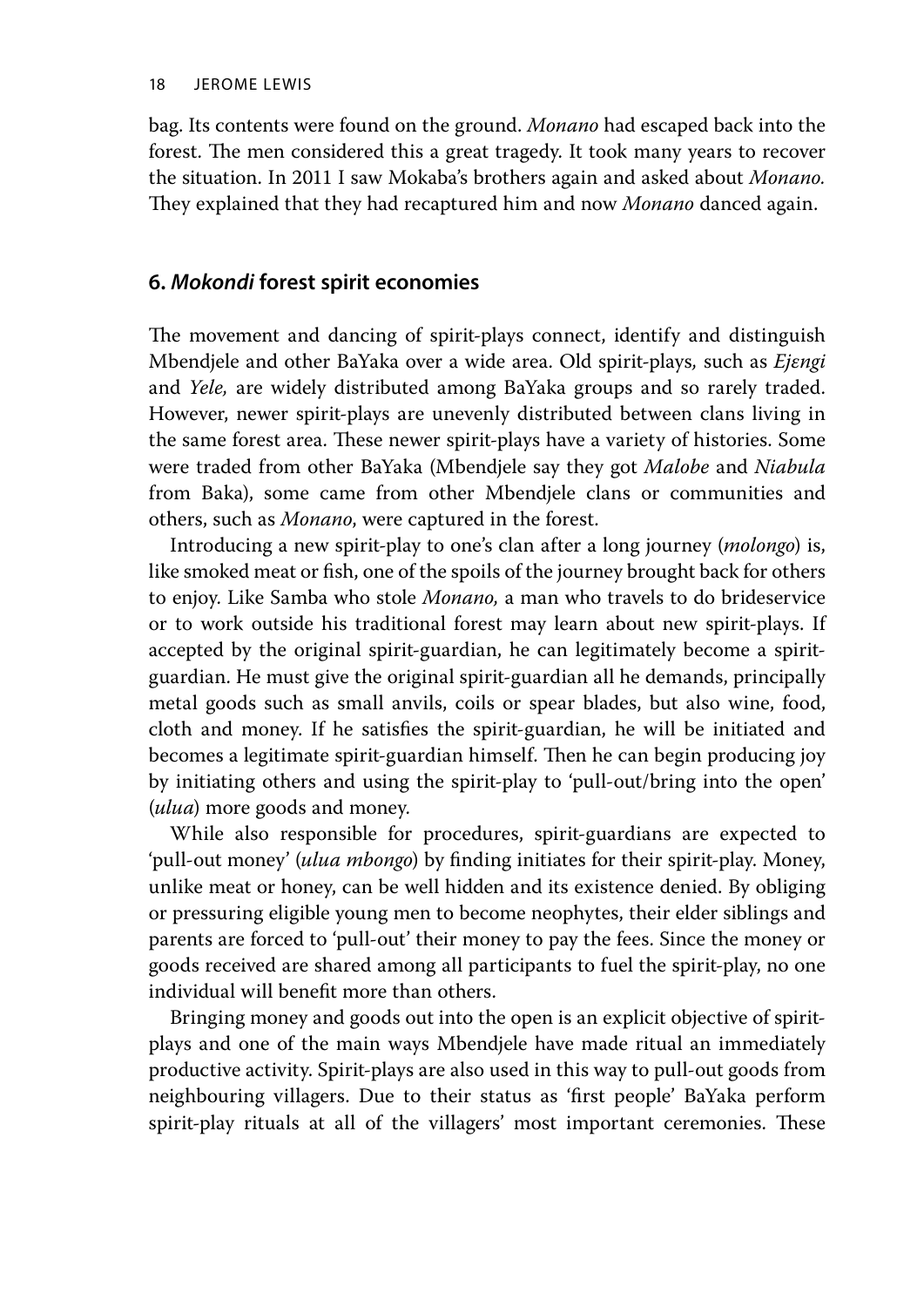bag. Its contents were found on the ground. *Monano* had escaped back into the forest. The men considered this a great tragedy. It took many years to recover the situation. In 2011 I saw Mokaba's brothers again and asked about *Monano.*  They explained that they had recaptured him and now *Monano* danced again.

## **6.** *Mokondi* **forest spirit economies**

The movement and dancing of spirit-plays connect, identify and distinguish Mbendjele and other BaYaka over a wide area. Old spirit-plays*,* such as *Ejεngi*  and *Yele,* are widely distributed among BaYaka groups and so rarely traded. However, newer spirit-plays are unevenly distributed between clans living in the same forest area. These newer spirit-plays have a variety of histories. Some were traded from other BaYaka (Mbendjele say they got *Malobe* and *Niabula*  from Baka), some came from other Mbendjele clans or communities and others, such as *Monano*, were captured in the forest.

Introducing a new spirit-play to one's clan after a long journey (*molongo*) is, like smoked meat or fish, one of the spoils of the journey brought back for others to enjoy. Like Samba who stole *Monano,* a man who travels to do brideservice or to work outside his traditional forest may learn about new spirit-plays. If accepted by the original spirit-guardian, he can legitimately become a spiritguardian. He must give the original spirit-guardian all he demands, principally metal goods such as small anvils, coils or spear blades, but also wine, food, cloth and money. If he satisfies the spirit-guardian, he will be initiated and becomes a legitimate spirit-guardian himself. Then he can begin producing joy by initiating others and using the spirit-play to 'pull-out/bring into the open' (*ulua*) more goods and money.

While also responsible for procedures, spirit-guardians are expected to 'pull-out money' (*ulua mbongo*) by finding initiates for their spirit-play. Money, unlike meat or honey, can be well hidden and its existence denied. By obliging or pressuring eligible young men to become neophytes, their elder siblings and parents are forced to 'pull-out' their money to pay the fees. Since the money or goods received are shared among all participants to fuel the spirit-play, no one individual will benefit more than others.

Bringing money and goods out into the open is an explicit objective of spiritplays and one of the main ways Mbendjele have made ritual an immediately productive activity. Spirit-plays are also used in this way to pull-out goods from neighbouring villagers. Due to their status as 'first people' BaYaka perform spirit-play rituals at all of the villagers' most important ceremonies. These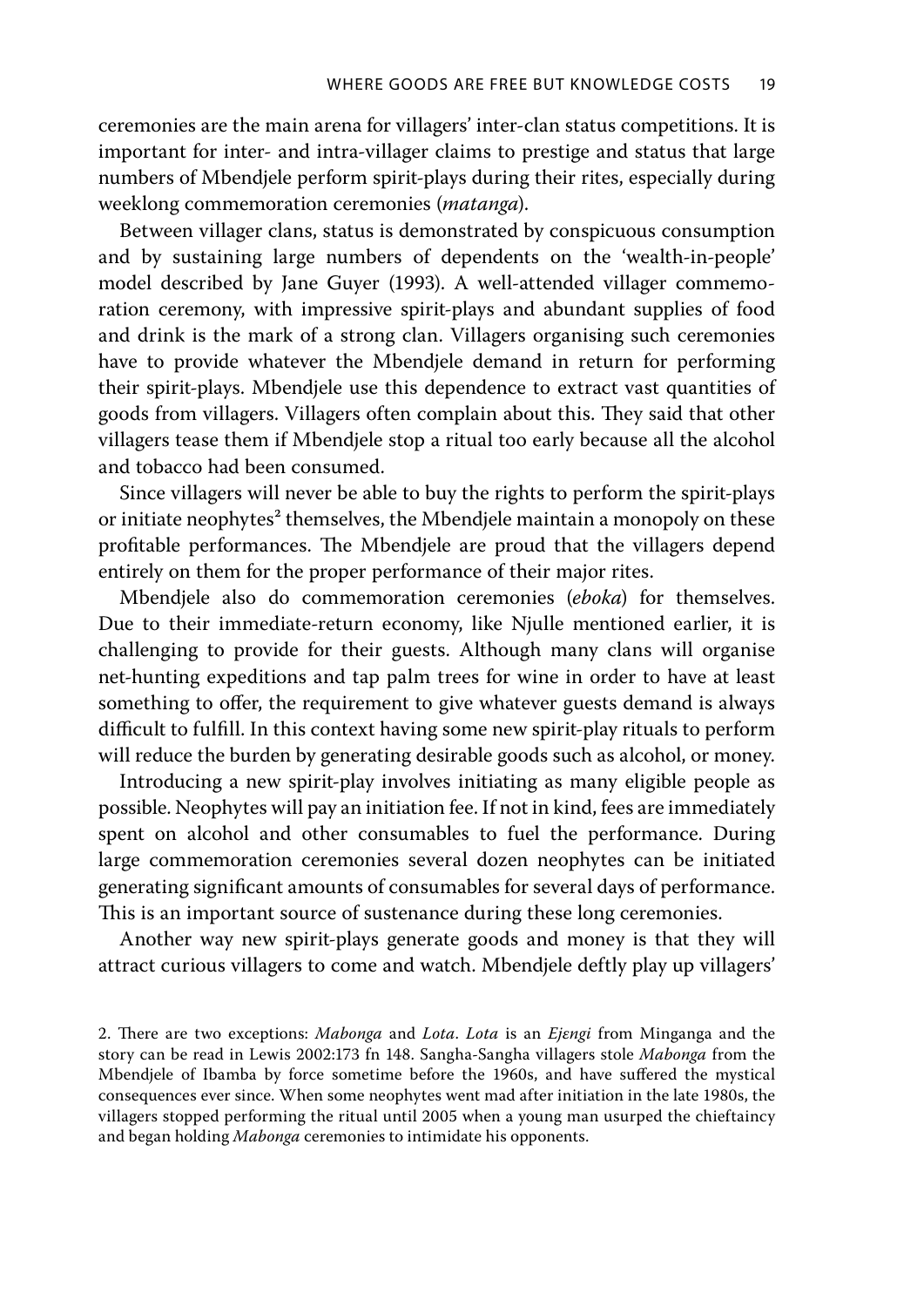ceremonies are the main arena for villagers' inter-clan status competitions. It is important for inter- and intra-villager claims to prestige and status that large numbers of Mbendjele perform spirit-plays during their rites, especially during weeklong commemoration ceremonies (*matanga*).

Between villager clans, status is demonstrated by conspicuous consumption and by sustaining large numbers of dependents on the 'wealth-in-people' model described by Jane Guyer (1993). A well-attended villager commemoration ceremony, with impressive spirit-plays and abundant supplies of food and drink is the mark of a strong clan. Villagers organising such ceremonies have to provide whatever the Mbendjele demand in return for performing their spirit-plays. Mbendjele use this dependence to extract vast quantities of goods from villagers. Villagers often complain about this. They said that other villagers tease them if Mbendjele stop a ritual too early because all the alcohol and tobacco had been consumed.

Since villagers will never be able to buy the rights to perform the spirit-plays or initiate neophytes<sup>2</sup> themselves, the Mbendjele maintain a monopoly on these profitable performances. The Mbendjele are proud that the villagers depend entirely on them for the proper performance of their major rites.

Mbendjele also do commemoration ceremonies (*eboka*) for themselves. Due to their immediate-return economy, like Njulle mentioned earlier, it is challenging to provide for their guests. Although many clans will organise net-hunting expeditions and tap palm trees for wine in order to have at least something to offer, the requirement to give whatever guests demand is always difficult to fulfill. In this context having some new spirit-play rituals to perform will reduce the burden by generating desirable goods such as alcohol, or money.

Introducing a new spirit-play involves initiating as many eligible people as possible. Neophytes will pay an initiation fee. If not in kind, fees are immediately spent on alcohol and other consumables to fuel the performance. During large commemoration ceremonies several dozen neophytes can be initiated generating significant amounts of consumables for several days of performance. This is an important source of sustenance during these long ceremonies.

Another way new spirit-plays generate goods and money is that they will attract curious villagers to come and watch. Mbendjele deftly play up villagers'

<sup>2.</sup> There are two exceptions: *Mabonga* and *Lota*. *Lota* is an *Ejεngi* from Minganga and the story can be read in Lewis 2002:173 fn 148. Sangha-Sangha villagers stole *Mabonga* from the Mbendjele of Ibamba by force sometime before the 1960s, and have suffered the mystical consequences ever since. When some neophytes went mad after initiation in the late 1980s, the villagers stopped performing the ritual until 2005 when a young man usurped the chieftaincy and began holding *Mabonga* ceremonies to intimidate his opponents.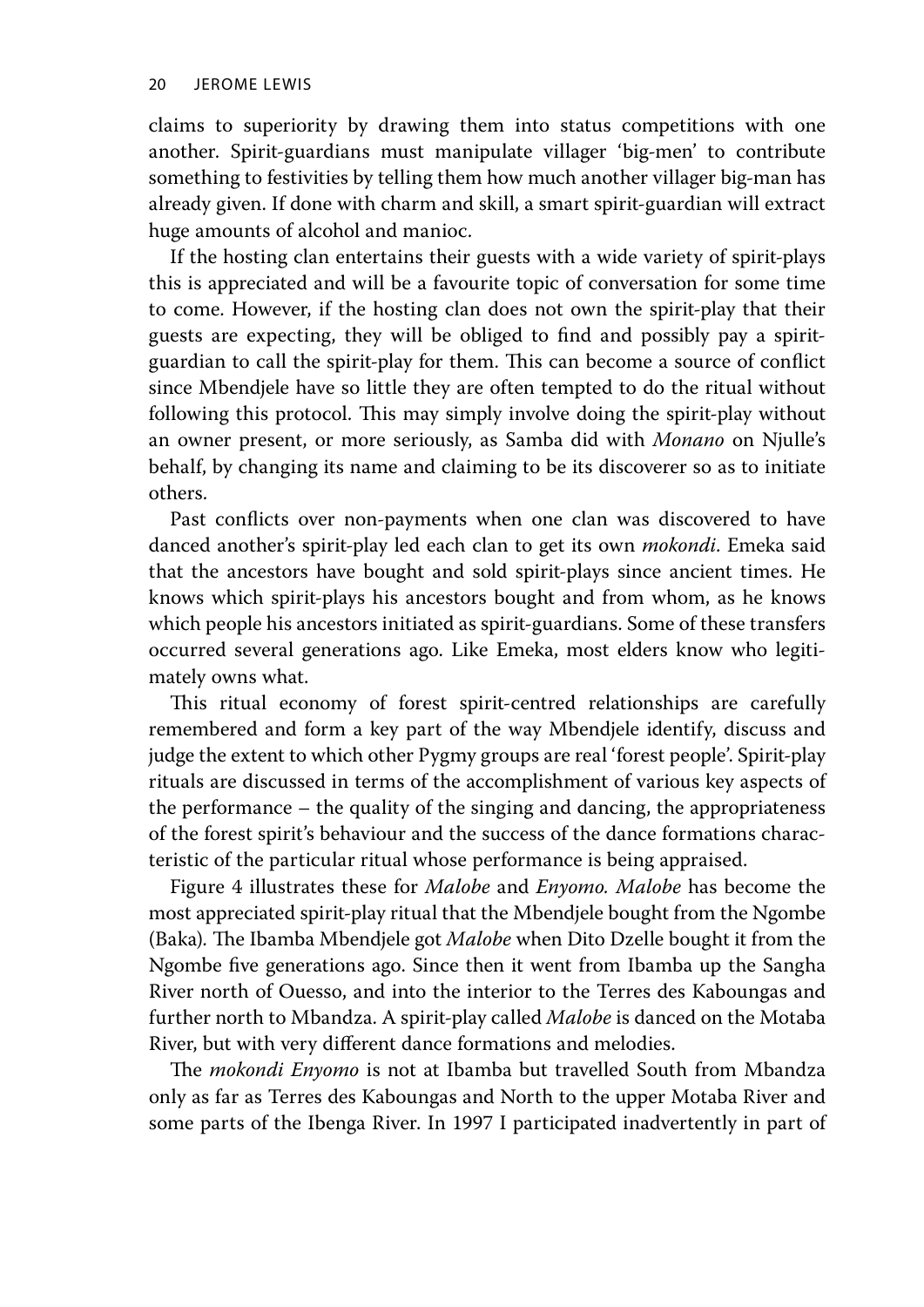claims to superiority by drawing them into status competitions with one another. Spirit-guardians must manipulate villager 'big-men' to contribute something to festivities by telling them how much another villager big-man has already given. If done with charm and skill, a smart spirit-guardian will extract huge amounts of alcohol and manioc.

If the hosting clan entertains their guests with a wide variety of spirit-plays this is appreciated and will be a favourite topic of conversation for some time to come. However, if the hosting clan does not own the spirit-play that their guests are expecting, they will be obliged to find and possibly pay a spiritguardian to call the spirit-play for them. This can become a source of conflict since Mbendjele have so little they are often tempted to do the ritual without following this protocol. This may simply involve doing the spirit-play without an owner present, or more seriously, as Samba did with *Monano* on Njulle's behalf, by changing its name and claiming to be its discoverer so as to initiate others.

Past conflicts over non-payments when one clan was discovered to have danced another's spirit-play led each clan to get its own *mokondi*. Emeka said that the ancestors have bought and sold spirit-plays since ancient times. He knows which spirit-plays his ancestors bought and from whom, as he knows which people his ancestors initiated as spirit-guardians. Some of these transfers occurred several generations ago. Like Emeka, most elders know who legitimately owns what.

This ritual economy of forest spirit-centred relationships are carefully remembered and form a key part of the way Mbendjele identify, discuss and judge the extent to which other Pygmy groups are real 'forest people'. Spirit-play rituals are discussed in terms of the accomplishment of various key aspects of the performance – the quality of the singing and dancing, the appropriateness of the forest spirit's behaviour and the success of the dance formations characteristic of the particular ritual whose performance is being appraised.

Figure 4 illustrates these for *Malobe* and *Enyomo. Malobe* has become the most appreciated spirit-play ritual that the Mbendjele bought from the Ngombe (Baka)*.* The Ibamba Mbendjele got *Malobe* when Dito Dzelle bought it from the Ngombe five generations ago. Since then it went from Ibamba up the Sangha River north of Ouesso, and into the interior to the Terres des Kaboungas and further north to Mbandza. A spirit-play called *Malobe* is danced on the Motaba River, but with very different dance formations and melodies.

The *mokondi Enyomo* is not at Ibamba but travelled South from Mbandza only as far as Terres des Kaboungas and North to the upper Motaba River and some parts of the Ibenga River. In 1997 I participated inadvertently in part of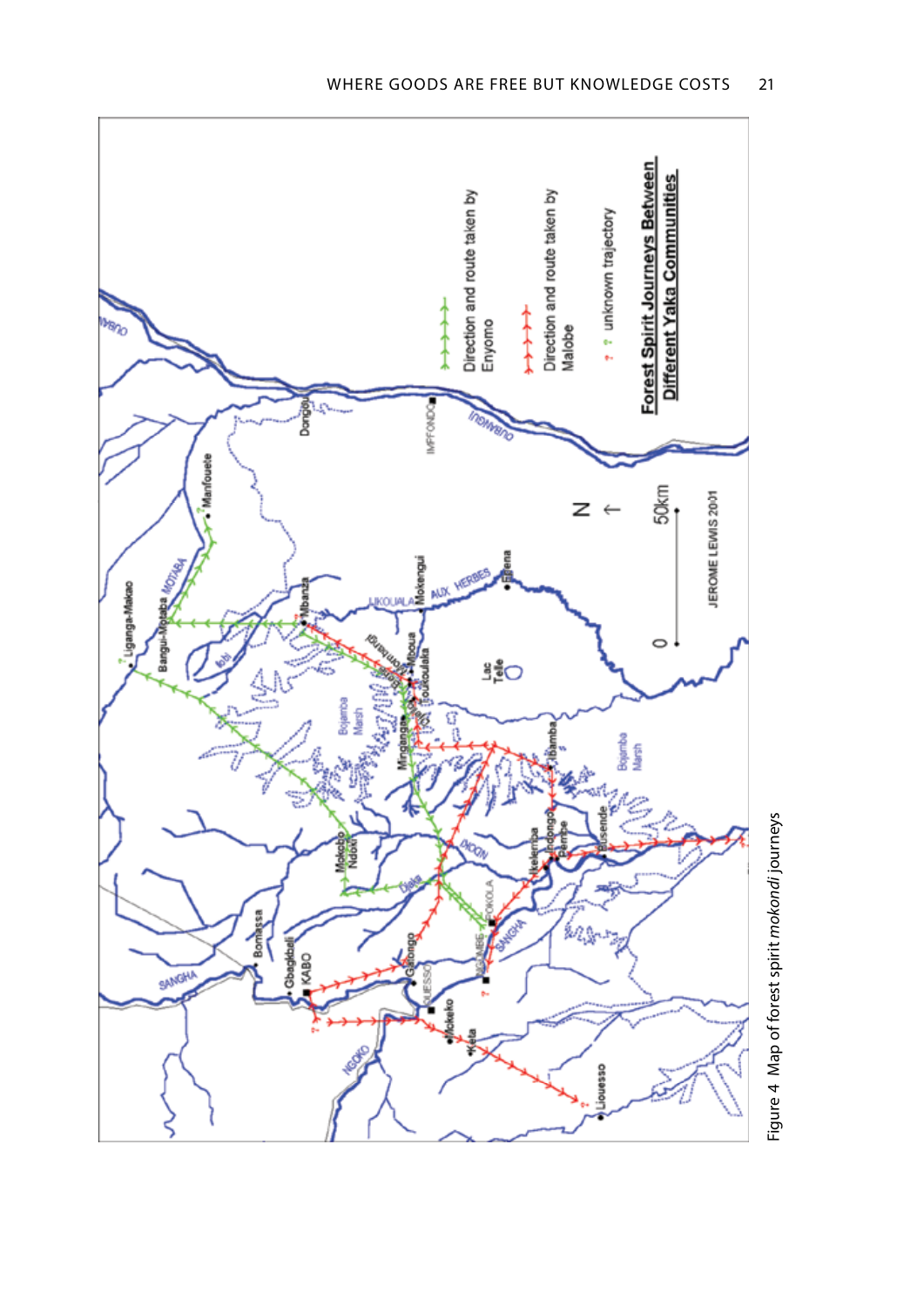

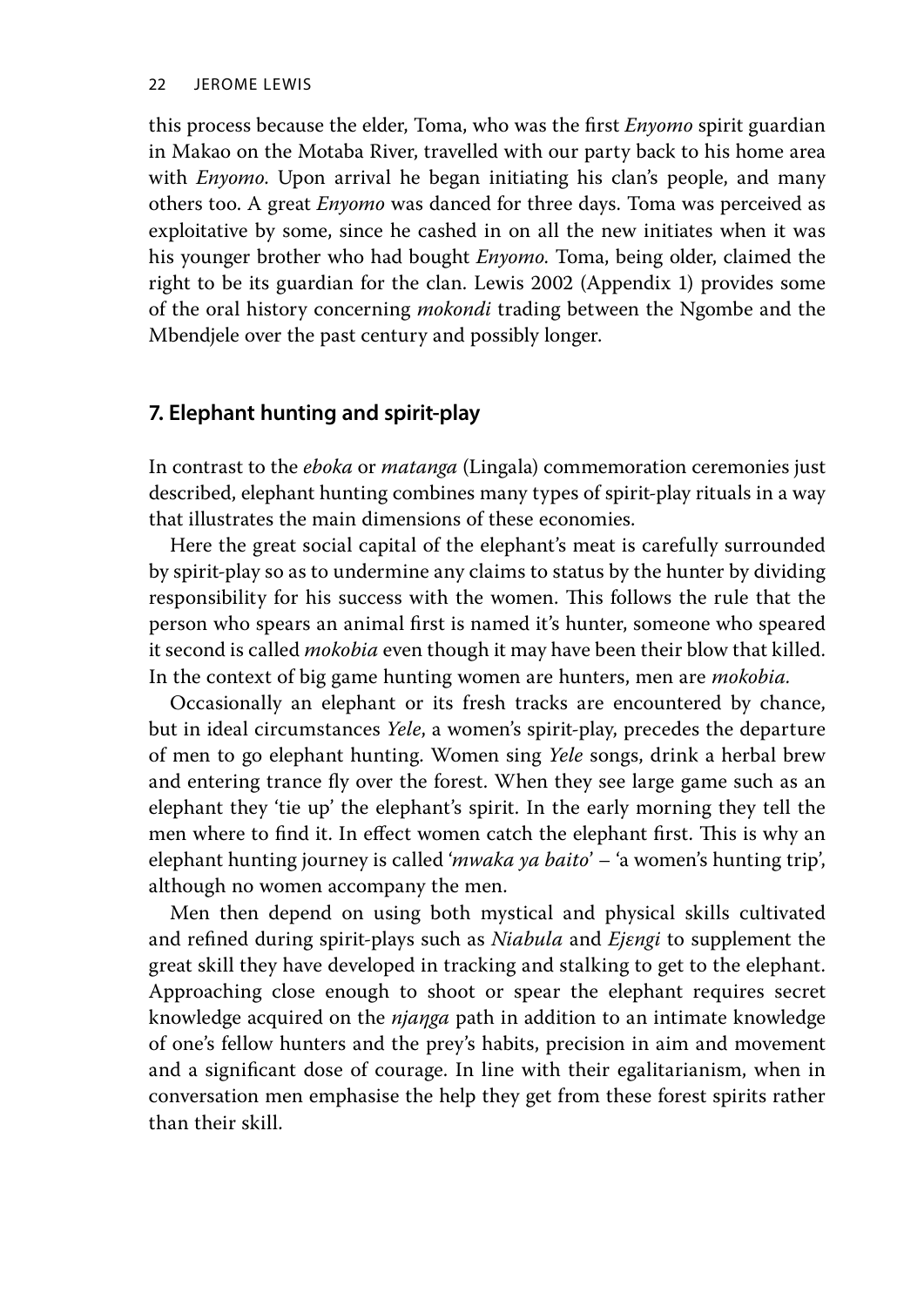this process because the elder, Toma, who was the first *Enyomo* spirit guardian in Makao on the Motaba River, travelled with our party back to his home area with *Enyomo*. Upon arrival he began initiating his clan's people, and many others too. A great *Enyomo* was danced for three days. Toma was perceived as exploitative by some, since he cashed in on all the new initiates when it was his younger brother who had bought *Enyomo*. Toma, being older, claimed the right to be its guardian for the clan. Lewis 2002 (Appendix 1) provides some of the oral history concerning *mokondi* trading between the Ngombe and the Mbendjele over the past century and possibly longer.

## **7. Elephant hunting and spirit-play**

In contrast to the *eboka* or *matanga* (Lingala) commemoration ceremonies just described, elephant hunting combines many types of spirit-play rituals in a way that illustrates the main dimensions of these economies.

Here the great social capital of the elephant's meat is carefully surrounded by spirit-play so as to undermine any claims to status by the hunter by dividing responsibility for his success with the women. This follows the rule that the person who spears an animal first is named it's hunter, someone who speared it second is called *mokobia* even though it may have been their blow that killed. In the context of big game hunting women are hunters, men are *mokobia.*

Occasionally an elephant or its fresh tracks are encountered by chance, but in ideal circumstances *Yele*, a women's spirit-play, precedes the departure of men to go elephant hunting. Women sing *Yele* songs, drink a herbal brew and entering trance fly over the forest. When they see large game such as an elephant they 'tie up' the elephant's spirit. In the early morning they tell the men where to find it. In effect women catch the elephant first. This is why an elephant hunting journey is called '*mwaka ya baito*' – 'a women's hunting trip', although no women accompany the men.

Men then depend on using both mystical and physical skills cultivated and refined during spirit-plays such as *Niabula* and *Ejεngi* to supplement the great skill they have developed in tracking and stalking to get to the elephant. Approaching close enough to shoot or spear the elephant requires secret knowledge acquired on the *njaηga* path in addition to an intimate knowledge of one's fellow hunters and the prey's habits, precision in aim and movement and a significant dose of courage. In line with their egalitarianism, when in conversation men emphasise the help they get from these forest spirits rather than their skill.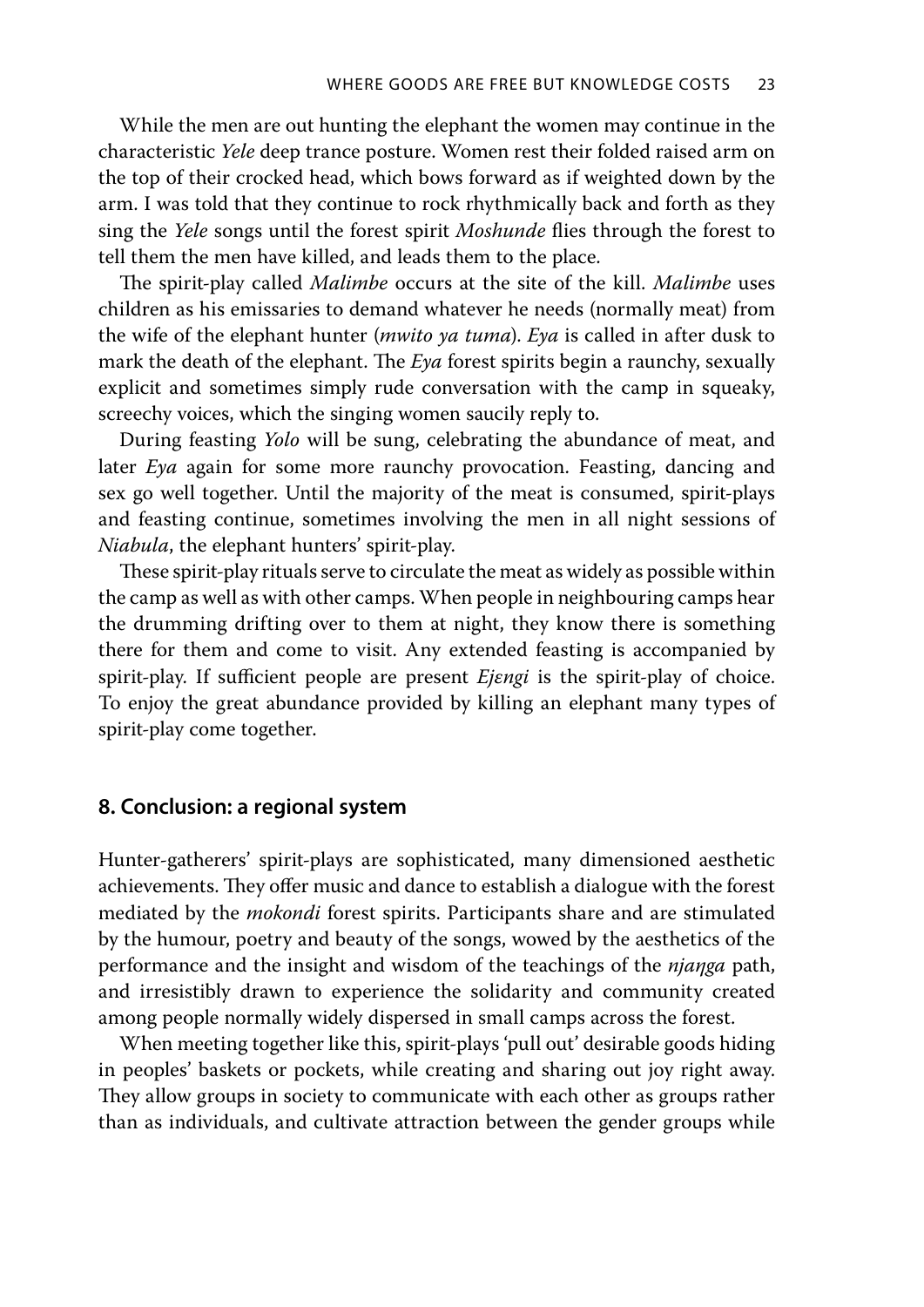While the men are out hunting the elephant the women may continue in the characteristic *Yele* deep trance posture. Women rest their folded raised arm on the top of their crocked head, which bows forward as if weighted down by the arm. I was told that they continue to rock rhythmically back and forth as they sing the *Yele* songs until the forest spirit *Moshunde* flies through the forest to tell them the men have killed, and leads them to the place.

The spirit-play called *Malimbe* occurs at the site of the kill. *Malimbe* uses children as his emissaries to demand whatever he needs (normally meat) from the wife of the elephant hunter (*mwito ya tuma*). *Eya* is called in after dusk to mark the death of the elephant. The *Eya* forest spirits begin a raunchy, sexually explicit and sometimes simply rude conversation with the camp in squeaky, screechy voices, which the singing women saucily reply to.

During feasting *Yolo* will be sung, celebrating the abundance of meat, and later *Eya* again for some more raunchy provocation. Feasting, dancing and sex go well together. Until the majority of the meat is consumed, spirit-plays and feasting continue, sometimes involving the men in all night sessions of *Niabula*, the elephant hunters' spirit-play.

These spirit-play rituals serve to circulate the meat as widely as possible within the camp as well as with other camps. When people in neighbouring camps hear the drumming drifting over to them at night, they know there is something there for them and come to visit. Any extended feasting is accompanied by spirit-play. If sufficient people are present *Ejεngi* is the spirit-play of choice. To enjoy the great abundance provided by killing an elephant many types of spirit-play come together.

#### **8. Conclusion: a regional system**

Hunter-gatherers' spirit-plays are sophisticated, many dimensioned aesthetic achievements. They offer music and dance to establish a dialogue with the forest mediated by the *mokondi* forest spirits. Participants share and are stimulated by the humour, poetry and beauty of the songs, wowed by the aesthetics of the performance and the insight and wisdom of the teachings of the *njaηga* path, and irresistibly drawn to experience the solidarity and community created among people normally widely dispersed in small camps across the forest.

When meeting together like this, spirit-plays 'pull out' desirable goods hiding in peoples' baskets or pockets, while creating and sharing out joy right away. They allow groups in society to communicate with each other as groups rather than as individuals, and cultivate attraction between the gender groups while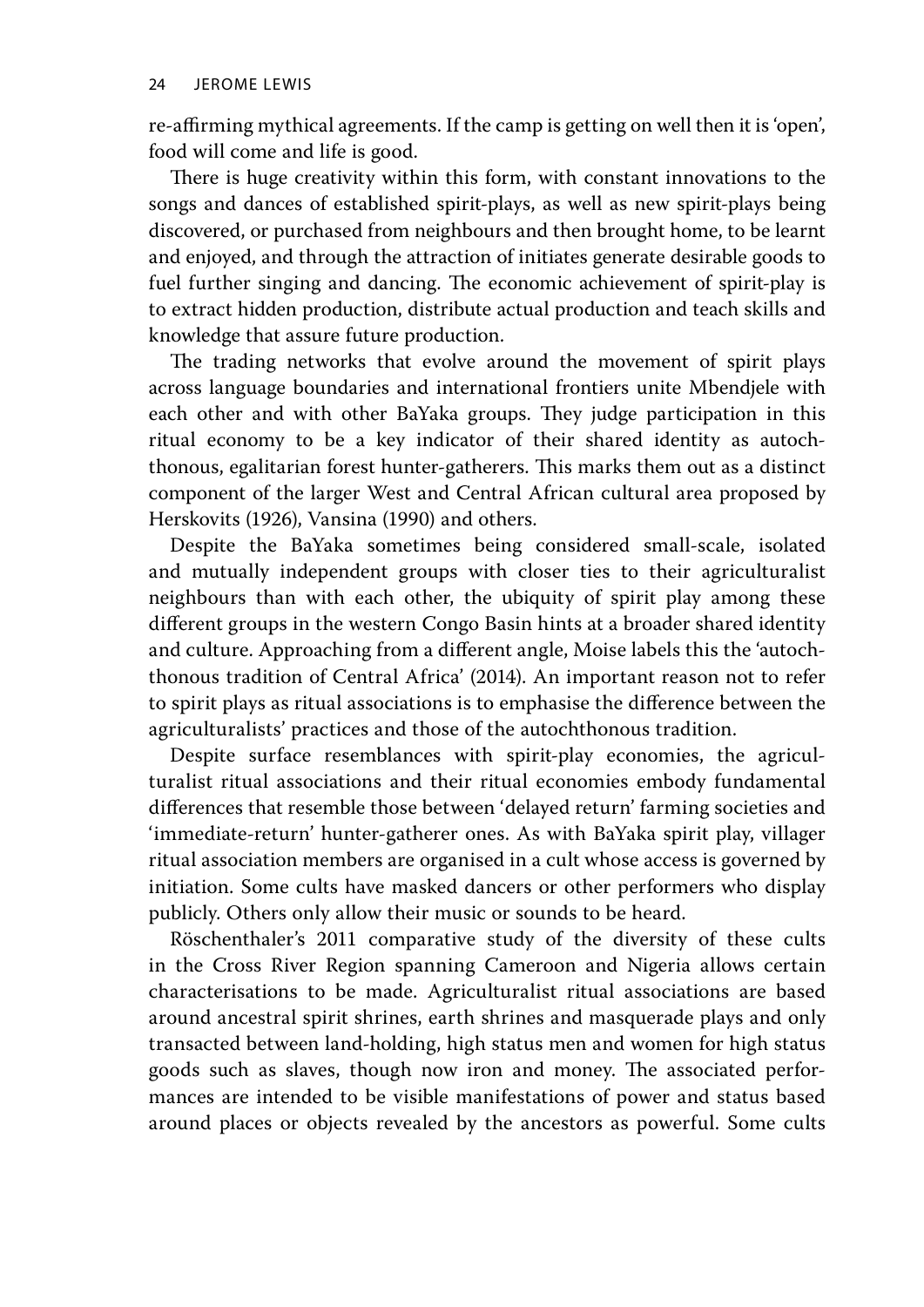re-affirming mythical agreements. If the camp is getting on well then it is 'open', food will come and life is good.

There is huge creativity within this form, with constant innovations to the songs and dances of established spirit-plays, as well as new spirit-plays being discovered, or purchased from neighbours and then brought home, to be learnt and enjoyed, and through the attraction of initiates generate desirable goods to fuel further singing and dancing. The economic achievement of spirit-play is to extract hidden production, distribute actual production and teach skills and knowledge that assure future production.

The trading networks that evolve around the movement of spirit plays across language boundaries and international frontiers unite Mbendjele with each other and with other BaYaka groups. They judge participation in this ritual economy to be a key indicator of their shared identity as autochthonous, egalitarian forest hunter-gatherers. This marks them out as a distinct component of the larger West and Central African cultural area proposed by Herskovits (1926), Vansina (1990) and others.

Despite the BaYaka sometimes being considered small-scale, isolated and mutually independent groups with closer ties to their agriculturalist neighbours than with each other, the ubiquity of spirit play among these different groups in the western Congo Basin hints at a broader shared identity and culture. Approaching from a different angle, Moise labels this the 'autochthonous tradition of Central Africa' (2014). An important reason not to refer to spirit plays as ritual associations is to emphasise the difference between the agriculturalists' practices and those of the autochthonous tradition.

Despite surface resemblances with spirit-play economies, the agriculturalist ritual associations and their ritual economies embody fundamental differences that resemble those between 'delayed return' farming societies and 'immediate-return' hunter-gatherer ones. As with BaYaka spirit play, villager ritual association members are organised in a cult whose access is governed by initiation. Some cults have masked dancers or other performers who display publicly. Others only allow their music or sounds to be heard.

Röschenthaler's 2011 comparative study of the diversity of these cults in the Cross River Region spanning Cameroon and Nigeria allows certain characterisations to be made. Agriculturalist ritual associations are based around ancestral spirit shrines, earth shrines and masquerade plays and only transacted between land-holding, high status men and women for high status goods such as slaves, though now iron and money. The associated performances are intended to be visible manifestations of power and status based around places or objects revealed by the ancestors as powerful. Some cults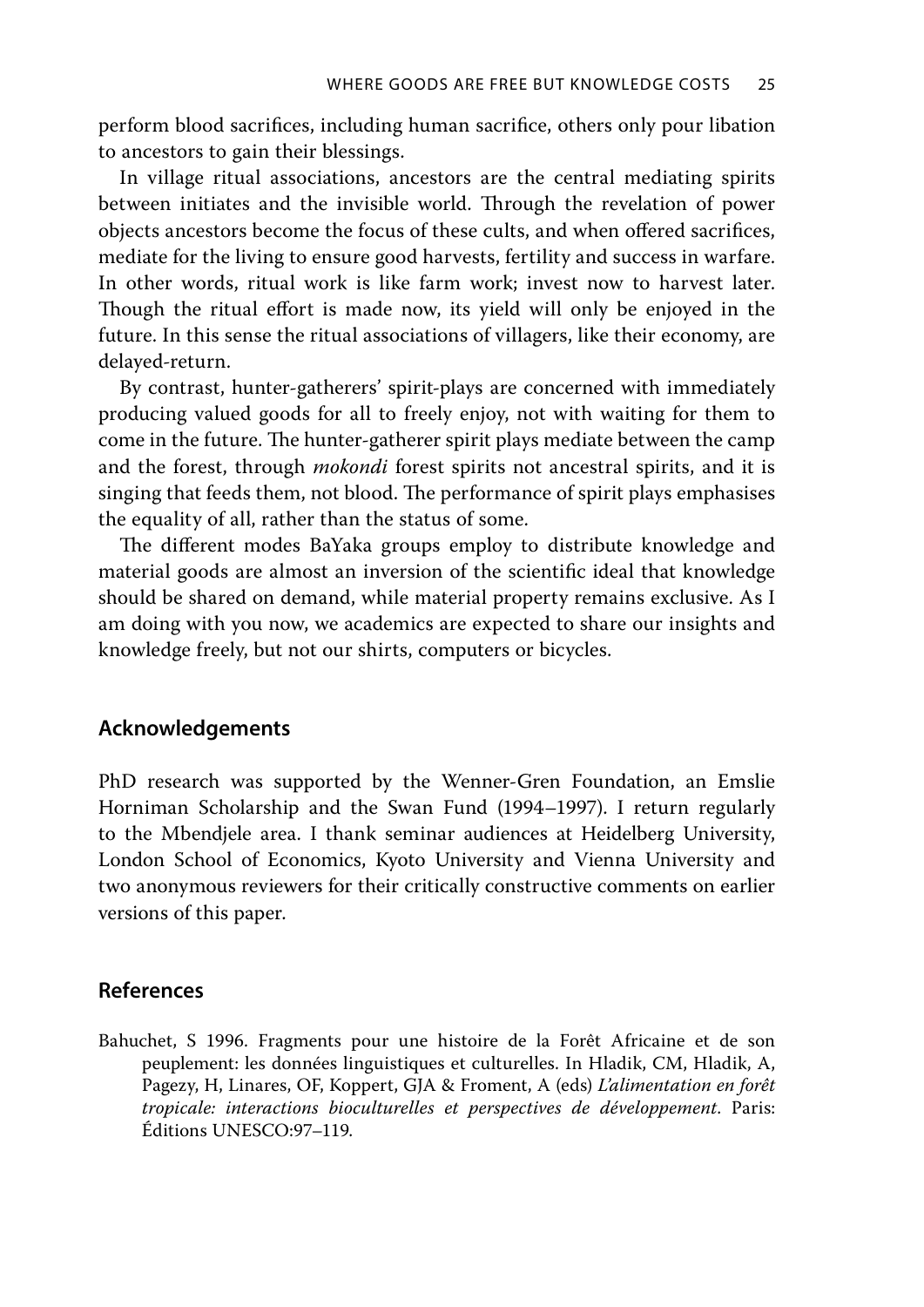perform blood sacrifices, including human sacrifice, others only pour libation to ancestors to gain their blessings.

In village ritual associations, ancestors are the central mediating spirits between initiates and the invisible world. Through the revelation of power objects ancestors become the focus of these cults, and when offered sacrifices, mediate for the living to ensure good harvests, fertility and success in warfare. In other words, ritual work is like farm work; invest now to harvest later. Though the ritual effort is made now, its yield will only be enjoyed in the future. In this sense the ritual associations of villagers, like their economy, are delayed-return.

By contrast, hunter-gatherers' spirit-plays are concerned with immediately producing valued goods for all to freely enjoy, not with waiting for them to come in the future. The hunter-gatherer spirit plays mediate between the camp and the forest, through *mokondi* forest spirits not ancestral spirits, and it is singing that feeds them, not blood. The performance of spirit plays emphasises the equality of all, rather than the status of some.

The different modes BaYaka groups employ to distribute knowledge and material goods are almost an inversion of the scientific ideal that knowledge should be shared on demand, while material property remains exclusive. As I am doing with you now, we academics are expected to share our insights and knowledge freely, but not our shirts, computers or bicycles.

#### **Acknowledgements**

PhD research was supported by the Wenner-Gren Foundation, an Emslie Horniman Scholarship and the Swan Fund (1994–1997). I return regularly to the Mbendjele area. I thank seminar audiences at Heidelberg University, London School of Economics, Kyoto University and Vienna University and two anonymous reviewers for their critically constructive comments on earlier versions of this paper.

#### **References**

Bahuchet, S 1996. Fragments pour une histoire de la Forêt Africaine et de son peuplement: les données linguistiques et culturelles. In Hladik, CM, Hladik, A, Pagezy, H, Linares, OF, Koppert, GJA & Froment, A (eds) *L'alimentation en forêt tropicale: interactions bioculturelles et perspectives de développement*. Paris: Éditions UNESCO:97–119.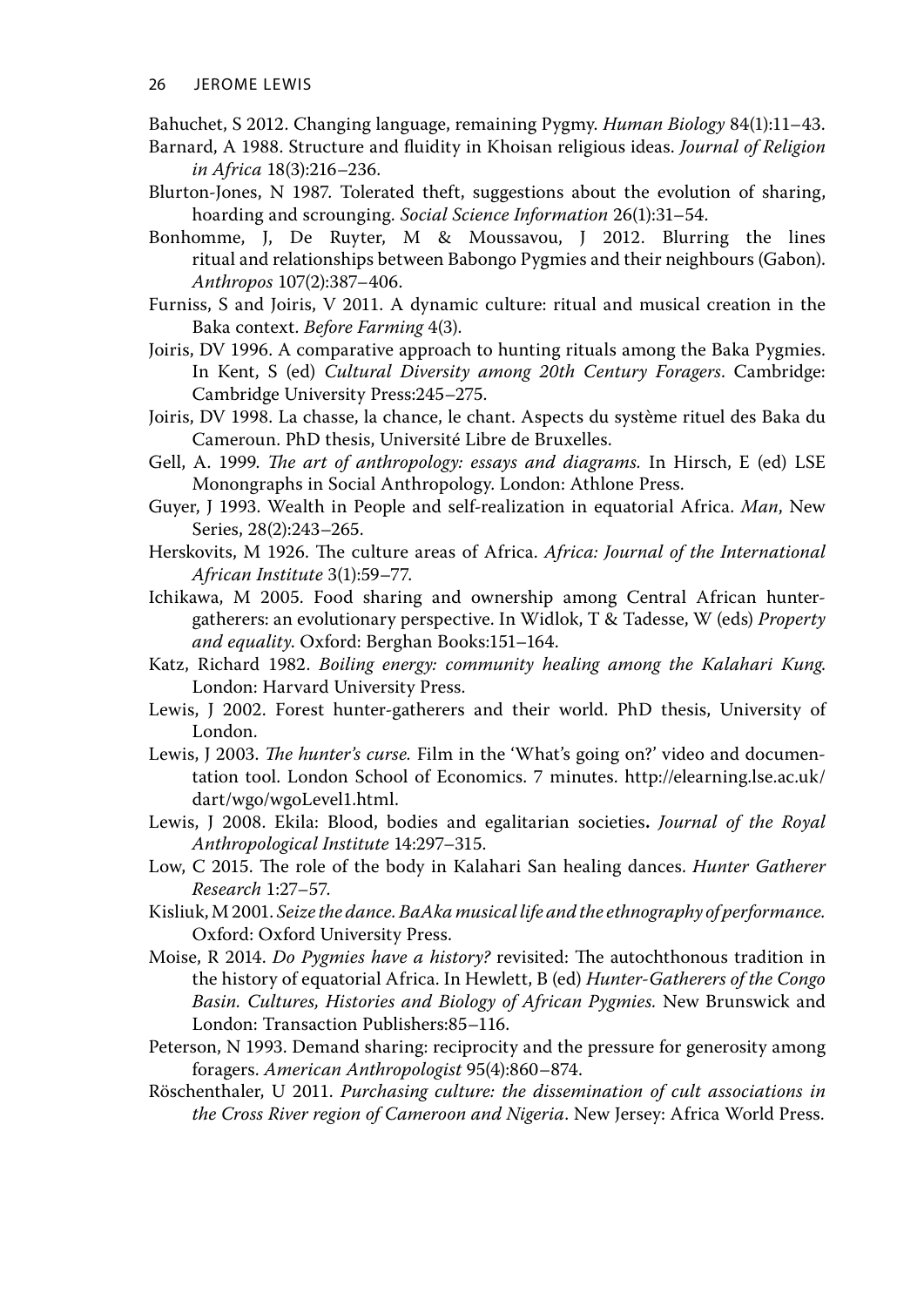Bahuchet, S 2012. Changing language, remaining Pygmy. *Human Biology* 84(1):11–43.

- Barnard, A 1988. Structure and fluidity in Khoisan religious ideas. *Journal of Religion in Africa* 18(3):216–236.
- Blurton-Jones, N 1987. Tolerated theft, suggestions about the evolution of sharing, hoarding and scrounging. *Social Science Information* 26(1):31–54.
- Bonhomme, J, De Ruyter, M & Moussavou, J 2012. Blurring the lines ritual and relationships between Babongo Pygmies and their neighbours (Gabon). *Anthropos* 107(2):387–406.
- Furniss, S and Joiris, V 2011. [A dynamic culture: ritual and musical creation in the](http://difusion.ulb.ac.be/vufind/Record/ULB-DIPOT:oai:dipot.ulb.ac.be:2013/157749/Holdings)  [Baka context](http://difusion.ulb.ac.be/vufind/Record/ULB-DIPOT:oai:dipot.ulb.ac.be:2013/157749/Holdings). *Before Farming* 4(3).
- Joiris, DV 1996. A comparative approach to hunting rituals among the Baka Pygmies. In Kent, S (ed) *Cultural Diversity among 20th Century Foragers*. Cambridge: Cambridge University Press:245–275.
- Joiris, DV 1998. La chasse, la chance, le chant. Aspects du système rituel des Baka du Cameroun. PhD thesis, Université Libre de Bruxelles.
- Gell, A. 1999. *The art of anthropology: essays and diagrams.* In Hirsch, E (ed) LSE Monongraphs in Social Anthropology. London: Athlone Press.
- Guyer, J 1993. Wealth in People and self-realization in equatorial Africa. *Man*, New Series, 28(2):243–265.
- Herskovits, M 1926. The culture areas of Africa. *Africa: Journal of the International African Institute* 3(1):59–77.
- Ichikawa, M 2005. Food sharing and ownership among Central African huntergatherers: an evolutionary perspective. In Widlok, T & Tadesse, W (eds) *Property and equality*. Oxford: Berghan Books:151–164.
- Katz, Richard 1982. *Boiling energy: community healing among the Kalahari Kung*. London: Harvard University Press.
- Lewis, J 2002. Forest hunter-gatherers and their world. PhD thesis, University of London.
- Lewis, J 2003. *The hunter's curse.* Film in the 'What's going on?' video and documentation tool. London School of Economics. 7 minutes. [http://elearning.lse.ac.uk/](http://elearning.lse.ac.uk/dart/wgo/wgoLevel1.html) [dart/wgo/wgoLevel1.html.](http://elearning.lse.ac.uk/dart/wgo/wgoLevel1.html)
- Lewis, J 2008. Ekila: Blood, bodies and egalitarian societies**.** *Journal of the Royal Anthropological Institute* 14:297–315.
- Low, C 2015. The role of the body in Kalahari San healing dances. *Hunter Gatherer Research* 1:27–57.
- Kisliuk, M 2001. *Seize the dance. BaAka musical life and the ethnography of performance.*  Oxford: Oxford University Press.
- Moise, R 2014. *Do Pygmies have a history?* revisited: The autochthonous tradition in the history of equatorial Africa. In Hewlett, B (ed) *Hunter-Gatherers of the Congo Basin. Cultures, Histories and Biology of African Pygmies.* New Brunswick and London: Transaction Publishers:85–116.
- Peterson, N 1993. Demand sharing: reciprocity and the pressure for generosity among foragers. *American Anthropologist* 95(4):860–874.
- Röschenthaler, U 2011. *Purchasing culture: the dissemination of cult associations in the Cross River region of Cameroon and Nigeria*. New Jersey: Africa World Press.